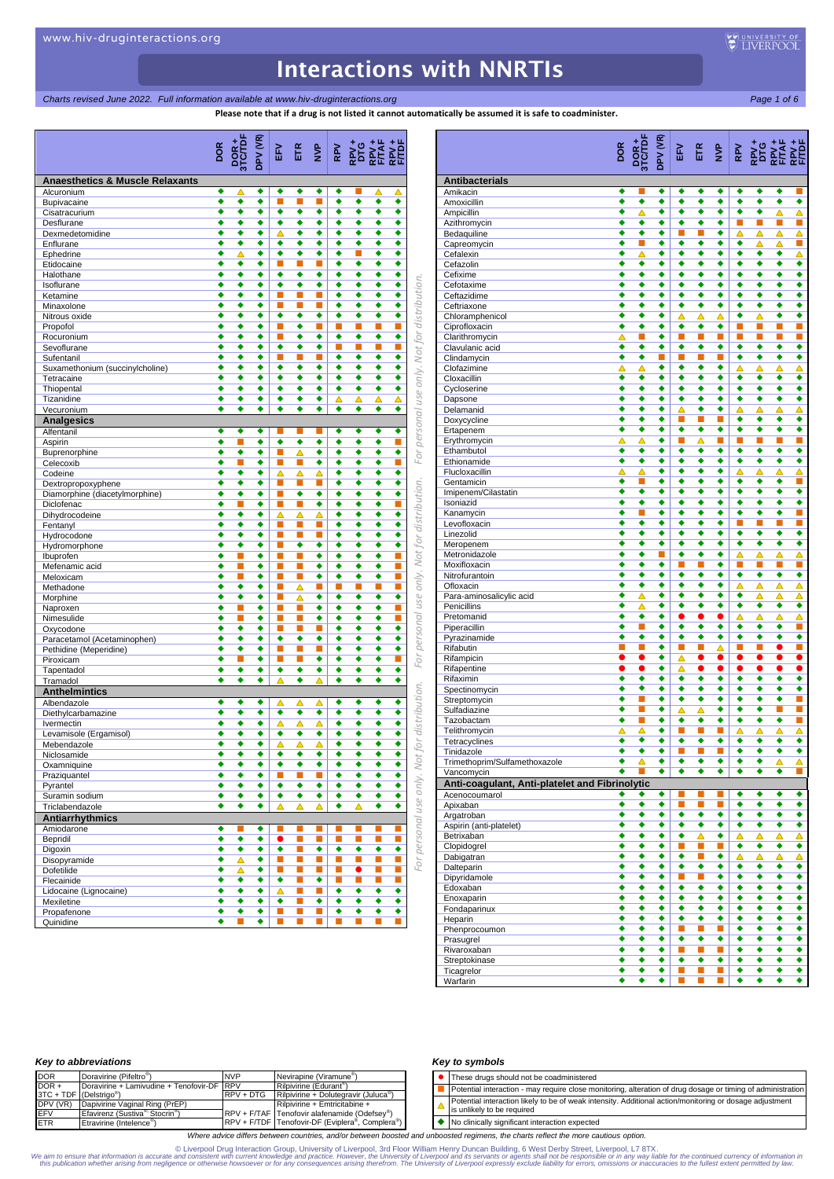*Charts revised June 2022. Full information available at www.hiv-druginteractions.org* Page 1 of 6<sup>2</sup>

**Plaase to matically be assumed it is safe to coadminister.** 

|                                            | Please note that if a drug is not listed it cannot auto |                        |         |                      |                      |                |                      |                      |                                  |                           |
|--------------------------------------------|---------------------------------------------------------|------------------------|---------|----------------------|----------------------|----------------|----------------------|----------------------|----------------------------------|---------------------------|
|                                            | <b>DOR</b>                                              | <b>POR+</b><br>3TC/TDI | DPV (VR | 깊                    | EIR                  | $\frac{P}{Z}$  | RPV                  |                      | te the the                       |                           |
| <b>Anaesthetics &amp; Muscle Relaxants</b> |                                                         |                        |         |                      |                      |                |                      |                      |                                  |                           |
| Alcuronium<br>Bupivacaine                  | ٠<br>٠                                                  | △<br>٠                 | ٠<br>٠  | ٠<br>п               | ٠<br>п               | ٠<br>п         | ٠<br>٠               | ٠                    | ▵<br>٠                           | △<br>٠                    |
| Cisatracurium                              | ٠                                                       | ٠                      | ٠       | ٠                    | ٠                    | ٠              | ٠                    | ٠                    | ٠                                | ٠                         |
| Desflurane                                 | ٠                                                       | ٠                      | ٠       | ٠                    | ٠                    | ٠              | ٠                    | ٠                    | ٠                                | ٠                         |
| Dexmedetomidine                            | ٠                                                       | ٠                      | ٠       | Δ                    | ٠<br>٠               | ٠              | ٠                    | ٠                    | ٠                                | ٠                         |
| Enflurane<br>Ephedrine                     | ٠<br>٠                                                  | ٠<br>Δ                 | ٠<br>٠  | ٠<br>٠               | ٠                    | ٠<br>٠         | ٠<br>٠               | ٠<br>П               | ٠<br>٠                           | ٠<br>٠                    |
| Etidocaine                                 | ٠                                                       | ٠                      | ٠       | п                    | п                    |                | ٠                    | ٠                    | ٠                                | ٠                         |
| Halothane                                  |                                                         | ٠                      | ٠       | ٠                    | ٠                    | ٠              | ٠                    | ٠                    | ٠                                | ٠                         |
| Isoflurane                                 | ٠<br>٠                                                  | ٠<br>٠                 | ٠<br>٠  | ٠<br>п               | ٠<br>п               | ٠              | ٠<br>٠               | ٠                    | ٠                                | ٠<br>٠                    |
| Ketamine<br>Minaxolone                     | ٠                                                       | ٠                      | ٠       | ■                    | п                    | п<br>п         | ٠                    | ٠<br>٠               | ٠<br>٠                           | ٠                         |
| Nitrous oxide                              | ٠                                                       | ٠                      | ٠       | ٠                    | ٠                    | ٠              | ٠                    | ٠                    | ٠                                | ٠                         |
| Propofol                                   | ٠                                                       | ٠                      | ٠       |                      | ٠                    |                | П                    |                      | п                                | п                         |
| Rocuronium                                 | ٠                                                       | ٠                      | ٠       | п                    | ٠                    | ٠              | ٠                    | ٠                    | ٠                                | ٠                         |
| Sevoflurane<br>Sufentanil                  | ٠<br>٠                                                  | ٠<br>٠                 | ٠<br>٠  | ٠<br>п               | ٠<br>п               | ٠<br>▬         | П<br>٠               | П<br>٠               | п<br>٠                           | п<br>٠                    |
| Suxamethonium (succinylcholine)            | ٠                                                       | ٠                      | ٠       | $\overline{\bullet}$ | $\overline{\bullet}$ | ٠              | ◆                    | ٠                    | ٠                                | ٠                         |
| Tetracaine                                 | ٠                                                       | ٠                      | ٠       | ٠                    | ٠                    | ٠              | ٠                    | ٠                    | ٠                                | ٠                         |
| Thiopental                                 | ٠                                                       | ٠                      | ٠       | ٠                    | ٠                    | ٠              | ٠                    | ٠                    | ٠                                | ٠                         |
| Tizanidine<br>Vecuronium                   | ٠<br>٠                                                  | ٠<br>٠                 | ٠<br>٠  | ٠<br>∙               | ٠<br>٠               | ٠<br>٠         | △<br>◆               | ▵<br>٠               | ▵<br>٠                           | ▵<br>٠                    |
| <b>Analgesics</b>                          |                                                         |                        |         |                      |                      |                |                      |                      |                                  |                           |
| Alfentanil                                 | ٠                                                       | ٠                      | ٠       |                      |                      | п              | ٠                    | ٠                    | ٠                                | ٠                         |
| Aspirin                                    | ٠                                                       | П                      | ٠       | ٠                    | ٠                    | ٠              | ٠                    | ٠                    | ٠                                | П                         |
| Buprenorphine                              | ٠                                                       | ٠                      | ٠       | п                    | Δ                    | ٠              | ٠                    | ٠                    | ٠                                | ٠                         |
| Celecoxib                                  | ٠<br>٠                                                  | ■<br>٠                 | ٠<br>٠  | п                    | п<br>Δ               | ٠              | ٠<br>٠               | ٠<br>٠               | ٠<br>٠                           | п<br>٠                    |
| Codeine<br>Dextropropoxyphene              | ٠                                                       | ٠                      | ٠       | Δ<br>п               | п                    | Δ<br>п         | ٠                    | ٠                    | ٠                                | ٠                         |
| Diamorphine (diacetylmorphine)             | ٠                                                       | ٠                      | ٠       | П                    | ٠                    | ٠              | ٠                    | ٠                    | ٠                                | ٠                         |
| Diclofenac                                 | ٠                                                       | П                      | ٠       | п                    | п                    | ٠              | ٠                    | ٠                    | ٠                                | П                         |
| Dihydrocodeine                             | ٠                                                       | ٠                      | ٠       | △                    | Δ                    | ▵              | ٠                    | ٠                    | ٠                                | ٠                         |
| Fentanyl<br>Hydrocodone                    | ٠<br>٠                                                  | ٠<br>٠                 | ٠<br>٠  | п<br>п               | п<br>ĩ.              | п<br>п         | ٠<br>٠               | ٠<br>٠               | ٠<br>٠                           | ٠<br>٠                    |
| Hydromorphone                              | ٠                                                       | ٠                      | ٠       | E                    | ٠                    | ٠              | ٠                    | ٠                    | ٠                                | ٠                         |
| Ibuprofen                                  | ٠                                                       | П                      | ٠       | п                    | п                    | ٠              | ٠                    | ٠                    | ٠                                | L.                        |
| Mefenamic acid                             | ٠                                                       |                        | ٠       | п                    | г                    | ٠              | ٠                    | ٠                    | ٠                                | П                         |
| Meloxicam                                  | ٠<br>٠                                                  | П<br>٠                 | ٠<br>٠  | п                    | п                    | ٠              | ◆                    | $\overline{\bullet}$ | ٠                                | П<br>ш,                   |
| Methadone<br>Morphine                      | ٠                                                       | ٠                      | ٠       | ■<br>п               | Δ<br>Δ               | ш<br>٠         | П<br>٠               | П<br>٠               | п<br>٠                           | ٠                         |
| Naproxen                                   | ٠                                                       | П                      | ٠       | ■                    | ■                    | ٠              | ٠                    | ٠                    | ٠                                | П                         |
| Nimesulide                                 | ٠                                                       | ■                      | ٠       | п                    | п                    | ٠              | ٠                    | ٠                    | ٠                                | п                         |
| Oxycodone                                  | ٠                                                       | ٠                      | ٠       | п                    | п                    |                | ٠                    | ٠                    | ٠                                | ٠                         |
| Paracetamol (Acetaminophen)                | ٠<br>٠                                                  | ٠<br>٠                 | ٠<br>٠  | ٠<br>п               | ٠<br>п               | ٠<br>п         | ٠<br>٠               | ٠<br>٠               | ٠<br>٠                           | ٠<br>٠                    |
| Pethidine (Meperidine)<br>Piroxicam        | ٠                                                       | П                      | ٠       | п                    | п                    | ٠              | ٠                    | ٠                    | ٠                                | п                         |
| Tapentadol                                 | ٠                                                       | ٠                      | ٠       | ٠                    | ٠                    | ٠              | ٠                    | ٠                    | ٠                                | ٠                         |
| Tramadol                                   | ٠                                                       | ٠                      | ٠       | △                    | ٠                    | Δ              | ٠                    | ٠                    | ٠                                | ٠                         |
| <b>Anthelmintics</b>                       |                                                         |                        |         |                      |                      |                |                      |                      |                                  |                           |
| Albendazole<br>Diethylcarbamazine          | ٠<br>٠                                                  | ٠<br>٠                 | ٠<br>٠  | Δ<br>٠               | Δ<br>٠               | Δ<br>٠         | ٠<br>٠               | ٠<br>٠               | ٠<br>٠                           | ٠<br>٠                    |
| Ivermectin                                 | ٠                                                       | ٠                      | ٠       | Δ                    | Δ                    | Δ              | ٠                    | ٠                    | ٠                                | ٠                         |
| Levamisole (Ergamisol)                     | ٠                                                       | ٠                      | ٠       | ٠                    | ٠                    | ٠              | ٠                    | ٠                    | ٠                                | ٠                         |
| Mebendazole                                | ٠                                                       | ٠                      | ٠       | Δ                    | Δ                    | Δ              | ٠                    | ٠                    | ٠                                | ٠                         |
| Niclosamide                                | ٠<br>٠                                                  | ٠<br>٠                 | ٠<br>٠  | ٠<br>٠               | ٠<br>٠               | ٠<br>٠         | ٠<br>٠               | ٠<br>٠               | ٠<br>٠                           | $\overline{\bullet}$<br>٠ |
| Oxamniquine<br>Praziquantel                | ٠                                                       | ٠                      | ٠       | П                    | П                    | П              | $\overline{\bullet}$ | ٠                    | $\overline{\bullet}$             | $\overline{\bullet}$      |
| Pyrantel                                   | ٠                                                       | ٠                      | ٠       | ٠                    | ٠                    | ٠              | ٠                    | ٠                    | $\overline{\bullet}$             | ٠                         |
| Suramin sodium                             | ٠                                                       | ٠                      | ٠       | ٠                    | ٠                    | ٠              | ٠                    | ٠                    | ٠                                | ٠                         |
| Triclabendazole                            | ٠                                                       | ٠                      | ٠       | Δ                    | Δ                    | Δ              | ٠                    | Δ                    | ٠                                | ٠                         |
| <b>Antiarrhythmics</b><br>Amiodarone       | ٠                                                       | ■                      | ٠       | П                    | п                    | ▬              | п                    | п                    | п                                | П                         |
| Bepridil                                   | ٠                                                       | ٠                      | ٠       | $\bullet$            | $\blacksquare$       | $\blacksquare$ | E                    | D.                   | $\mathcal{L}_{\mathcal{A}}$      | ш,                        |
| Digoxin                                    | ٠                                                       | ٠                      | ٠       | ٠                    | п                    | ٠              | ٠                    | ٠                    | ٠                                | ٠                         |
| Disopyramide                               | ٠                                                       | Δ                      | ٠       | п                    | Ξ                    | п              | П                    | П                    | П                                | П                         |
| Dofetilide                                 | ٠                                                       | ᅀ                      | ٠       | п                    | п                    | п              | П                    | $\bullet$            | п                                | П                         |
| Flecainide<br>Lidocaine (Lignocaine)       | ٠<br>٠                                                  | ٠<br>٠                 | ٠<br>٠  | ٠<br>Δ               | $\blacksquare$<br>п  | ٠<br>п         | П<br>٠               | Ē,<br>٠              | $\mathcal{L}_{\mathcal{A}}$<br>٠ | П<br>٠                    |
| Mexiletine                                 | ٠                                                       | ٠                      | ٠       | ٠                    | п                    | ٠              | ٠                    | ٠                    | ٠                                | ٠                         |
|                                            |                                                         |                        |         |                      |                      |                |                      |                      |                                  |                           |
| Propafenone                                | ٠                                                       | ٠                      | ٠       | п                    | п                    | п              | ٠                    | ٠                    | ٠                                | ٠                         |

|                                                              | DOR       | <b>DOR+</b><br>3TC/TDF<br>DPV (VR) |                           | F,                          | ETE <sub>P</sub>     |                           |                           |                           |                                     |
|--------------------------------------------------------------|-----------|------------------------------------|---------------------------|-----------------------------|----------------------|---------------------------|---------------------------|---------------------------|-------------------------------------|
| <b>Antibacterials</b>                                        |           |                                    |                           |                             |                      |                           |                           |                           |                                     |
| Amikacin<br>Amoxicillin                                      | ٠<br>٠    | ٠                                  | ٠<br>٠                    | ٠<br>٠                      | ٠<br>٠               | ٠<br>٠                    | ٠<br>٠                    | ٠<br>٠                    | ٠<br>٠<br>٠                         |
| Ampicillin                                                   | ٠         | Δ                                  | ٠                         | ٠                           | ٠                    | ٠                         | ٠                         | ٠                         | Δ<br>Δ                              |
| Azithromycin                                                 | ٠         | ٠                                  | ٠                         | ٠                           | ٠                    | ٠                         | п                         | п                         | П<br>П                              |
| Bedaquiline                                                  | ٠         | ٠                                  | ٠                         | П                           | п                    | ٠                         | ▵                         | ▵                         | △<br>Δ                              |
| Capreomycin                                                  | ٠         | п                                  | ٠                         | ٠                           | $\overline{\bullet}$ | ٠                         | ٠                         | Δ                         | П<br>Δ                              |
| Cefalexin                                                    | ٠         | Δ                                  | ٠                         | ٠<br>٠                      | ٠<br>٠               | ٠<br>٠                    | ٠                         | ٠                         | ٠<br>Δ                              |
| Cefazolin<br>Cefixime                                        |           | ٠<br>٠                             | ٠<br>٠                    | ٠                           | ٠                    | ٠                         | ٠<br>٠                    | ٠<br>٠                    | ٠<br>٠<br>٠<br>٠                    |
| Cefotaxime                                                   |           | ٠                                  | ٠                         | ٠                           | $\overline{\bullet}$ | $\overline{\bullet}$      | $\overline{\bullet}$      | ◆                         | ∙<br>◆                              |
| Ceftazidime                                                  | ٠         | ٠                                  | ٠                         | ٠                           | ٠                    | ٠                         | ٠                         | ٠                         | ٠<br>٠                              |
| Ceftriaxone                                                  | ٠         | ٠                                  | ٠                         | ٠                           | ٠                    | ٠                         | ٠                         | ٠                         | ٠<br>٠                              |
| Chloramphenicol                                              | ٠         | ٠                                  | ٠                         | Δ                           | ▵                    | Δ                         | ٠                         | Δ                         | ٠<br>٠                              |
| Ciprofloxacin                                                | ٠         | ٠                                  | ٠                         | ٠                           | ٠                    | ٠                         | п                         |                           | п<br>П                              |
| Clarithromycin                                               | Δ         | ٠                                  | ٠<br>٠                    | ٠                           | ٠                    | п<br>٠                    | Б<br>٠                    | ×<br>٠                    | П<br>٠<br>٠                         |
| Clavulanic acid<br>Clindamycin                               | ٠<br>٠    | ٠                                  | П                         |                             |                      | п                         | ٠                         | ٠                         | ٠<br>٠                              |
| Clofazimine                                                  | Δ         | Δ                                  | ٠                         | ٠                           | ٠                    | ٠                         | Δ                         | Δ                         | Δ<br>Δ                              |
| Cloxacillin                                                  | ٠         | ٠                                  | ٠                         | ٠                           | ٠                    | ٠                         | ٠                         | ٠                         | ٠<br>٠                              |
| Cycloserine                                                  | ٠         | ٠                                  | ٠                         | ٠                           | ٠                    | ٠                         | ٠                         | ٠                         | ٠<br>٠                              |
| Dapsone                                                      | ٠         | ٠                                  | ٠                         | ٠                           | ٠                    | ٠                         | ٠                         | ٠                         | ٠<br>٠                              |
| Delamanid                                                    | ٠         | ٠                                  | ٠                         | △                           | ٠                    | ٠                         | ▵                         | △                         | ▵<br>Δ                              |
| Doxycycline                                                  |           | ٠                                  | ٠                         | п                           | п                    | i.                        | ٠                         | ٠                         | ٠<br>٠                              |
| Ertapenem                                                    | ٠<br>Δ    | ٠<br>Δ                             | ٠<br>٠                    | ٠<br>П                      | ٠<br>Δ               | ٠<br>×                    | ٠<br>п                    | ٠<br>п                    | ٠<br>٠<br>П<br>П                    |
| Erythromycin<br>Ethambutol                                   | ٠         | ٠                                  | ٠                         | ٠                           | ٠                    | ٠                         | ٠                         | ٠                         | ٠<br>٠                              |
| Ethionamide                                                  | ٠         | ٠                                  | ٠                         | ٠                           | ٠                    | ٠                         | ٠                         | ٠                         | ٠<br>٠                              |
| Flucloxacillin                                               | Δ         | △                                  | ٠                         | ٠                           | ٠                    | ٠                         | Δ                         | Δ                         | Δ<br>Δ                              |
| Gentamicin                                                   | ٠         | П                                  | ٠                         | ٠                           | ٠                    | ٠                         | ٠                         | ٠                         | П<br>٠                              |
| Imipenem/Cilastatin                                          | ٠         | ٠                                  | ٠                         | ٠                           | ٠                    | ٠                         | ٠                         | ٠                         | ٠<br>٠                              |
| Isoniazid                                                    | ٠         | ٠                                  | ٠                         | ٠                           | ٠                    | ٠                         | ٠                         | ٠                         | ٠<br>٠                              |
| Kanamycin<br>Levofloxacin                                    | ٠<br>٠    | ٠                                  | ٠<br>٠                    | ٠<br>٠                      | ٠<br>٠               | ٠<br>٠                    | ٠<br>п                    | ٠<br>П                    | ٠<br>П<br>■                         |
| Linezolid                                                    | ٠         | ٠                                  | ٠                         | $\overline{\bullet}$        | ٠                    | ٠                         | ◆                         | ◆                         | ٠<br>٠                              |
| Meropenem                                                    | ٠         | ٠                                  | ٠                         | ٠                           | ٠                    | ٠                         | ٠                         | ٠                         | ٠<br>٠                              |
| Metronidazole                                                | ٠         | ٠                                  | П                         | ٠                           | ٠                    | ٠                         | Δ                         | Δ                         | Δ<br>Δ                              |
| Moxifloxacin                                                 | ٠         | ٠                                  | ٠                         | П                           | п                    | ٠                         | п                         | п                         | П<br>П                              |
| Nitrofurantoin                                               |           | ٠                                  | ٠                         | ٠                           | ٠                    | ٠                         | ٠                         | ٠                         | ٠<br>٠                              |
| Ofloxacin                                                    |           | ٠                                  | ٠                         | ٠                           | ٠                    | ٠                         | ▵                         | Δ                         | Δ<br>Δ                              |
| Para-aminosalicylic acid<br>Penicillins                      | ٠         | Δ<br>Δ                             | ٠<br>٠                    | ٠<br>٠                      | ٠<br>٠               | ٠<br>٠                    | ٠<br>٠                    | Δ<br>٠                    | Δ<br>Δ<br>◆<br>٠                    |
| Pretomanid                                                   | ٠         | ٠                                  | ٠                         | $\bullet$                   | $\bullet$            | $\bullet$                 | Δ                         | Δ                         | Δ<br>Δ                              |
| Piperacillin                                                 | ٠         | п                                  | ٠                         | ٠                           | ٠                    | ٠                         | ٠                         | ٠                         | Ξ<br>٠                              |
| Pyrazinamide                                                 | ٠         | ٠                                  | ٠                         | ٠                           | ٠                    | ٠                         | ٠                         | ٠                         | ٠<br>٠                              |
| Rifabutin                                                    | ■         |                                    | ٠                         |                             |                      | Δ                         | п                         |                           | 0                                   |
| Rifampicin                                                   | $\bullet$ | $\bullet$                          | ٠                         | Δ                           | $\bullet$            | $\bullet$                 | $\bullet$                 | $\bullet$                 | $\bullet$<br>$\bullet$              |
| Rifapentine                                                  | $\bullet$ |                                    | ٠                         | Δ                           | 0                    | $\bullet$                 | $\bullet$                 | $\bullet$                 | $\bullet$                           |
| Rifaximin<br>Spectinomycin                                   | ٠<br>٠    | ٠<br>٠                             | ٠<br>٠                    | ٠<br>$\overline{\bullet}$   | ٠<br>٠               | ٠<br>$\overline{\bullet}$ | ٠<br>$\overline{\bullet}$ | ٠<br>$\overline{\bullet}$ | ٠<br>٠<br>٠<br>◆                    |
| Streptomycin                                                 | ٠         | ш                                  | ٠                         | ٠                           | ٠                    | ٠                         | ٠                         | ٠                         | ٠<br>П                              |
| Sulfadiazine                                                 | ٠         | п                                  | ٠                         | Δ                           | Δ                    | ٠                         | ٠                         | ٠                         | п<br>П                              |
| Tazobactam                                                   | ٠         | п                                  | ٠                         | ٠                           | ٠                    | ٠                         | ٠                         | ٠                         | П<br>٠                              |
| Telithromycin                                                | Δ         | Ā                                  | ٠                         | п                           | п                    | u                         | Δ                         | Δ                         | Δ<br>Δ                              |
| Tetracyclines                                                | ٠         | ٠                                  | ٠                         | ٠                           | ٠                    | ٠                         | ٠                         | ٠                         | ٠<br>٠                              |
| Tinidazole                                                   |           |                                    |                           |                             |                      |                           |                           |                           |                                     |
| Trimethoprim/Sulfamethoxazole                                | ٠<br>٠    | △                                  | ٠<br>$\overline{\bullet}$ | ٠<br>∙                      |                      |                           | ٠                         | ٠                         | △<br>Δ<br>П<br>٠                    |
| Vancomycin<br>Anti-coagulant, Anti-platelet and Fibrinolytic |           |                                    |                           |                             |                      |                           |                           |                           |                                     |
| Acenocoumarol                                                | ٠         | ٠                                  | ٠                         |                             |                      | п                         | ٠                         | ٠                         | ٠<br>٠                              |
| Apixaban                                                     | ٠         | ٠                                  | ٠                         | п                           | п                    | п                         | ٠                         | ٠                         | ٠<br>٠                              |
| Argatroban                                                   | ٠         | ٠                                  | ٠                         | $\overline{\bullet}$        | $\overline{\bullet}$ | ٠                         | ٠                         | ٠                         | ٠<br>٠                              |
| Aspirin (anti-platelet)                                      | ٠         | ٠                                  | ٠                         | ٠                           | ٠                    | ٠                         | ٠                         | ٠                         | ٠<br>٠                              |
| Betrixaban                                                   | ٠         | ٠                                  | ٠                         | ٠                           | Δ                    | ٠                         | Δ                         | Δ                         | Δ<br>Δ                              |
| Clopidogrel                                                  | ٠         | ٠                                  | ٠                         | D.                          | <b>C</b>             | $\blacksquare$            | ٠                         | ٠                         | ٠<br>٠                              |
| Dabigatran                                                   | ٠         | ٠                                  | ٠                         | ٠                           | п                    | ٠                         | Δ                         | Δ                         | Δ<br>Δ                              |
| Dalteparin<br>Dipyridamole                                   | ٠<br>٠    | ٠<br>٠                             | ٠<br>٠                    | ٠<br>×                      | ٠<br>L.              | ٠<br>٠                    | ٠<br>٠                    | ٠<br>٠                    | ٠<br>٠<br>٠<br>٠                    |
| Edoxaban                                                     | ٠         | ٠                                  | ٠                         | ٠                           | ٠                    | ٠                         | ٠                         | ٠                         | ٠<br>٠                              |
| Enoxaparin                                                   | ٠         | ٠                                  | ٠                         | ٠                           | ٠                    | ٠                         | ٠                         | ٠                         | ٠<br>٠                              |
| Fondaparinux                                                 | ٠         | ٠                                  | ٠                         | ٠                           | ٠                    | ٠                         | ٠                         | ٠                         | ٠<br>٠                              |
| Heparin                                                      | ٠         | ٠                                  | ٠                         | ٠                           | ٠                    | ٠                         | ٠                         | ٠                         | ٠<br>٠                              |
| Phenprocoumon                                                | ٠         | ٠                                  | ٠                         | ■                           | п                    | п                         | ٠                         | ٠                         | ٠<br>٠                              |
| Prasugrel                                                    | ٠         | ٠                                  | ٠                         | ٠                           | ٠                    | ٠                         | ٠                         | ٠                         | ٠<br>٠                              |
| Rivaroxaban                                                  | ٠         | ٠                                  | ٠                         | $\mathcal{L}_{\mathcal{A}}$ | <b>C</b>             | п                         | ٠                         | ٠                         | ٠<br>٠                              |
| Streptokinase<br>Ticagrelor                                  | ٠<br>٠    | ٠<br>٠                             | ٠<br>٠                    | ٠<br>Ξ                      | ٠<br>П               | ٠<br>т                    | ٠<br>٠                    | ٠<br>٠                    | ٠<br>٠<br>$\overline{\bullet}$<br>٠ |
| Warfarin                                                     | ٠         | ٠                                  | ٠                         | ×                           | п                    | п                         | ٠                         | ٠                         | ٠<br>٠                              |
|                                                              |           |                                    |                           |                             |                      |                           |                           |                           |                                     |

### *Key to abbreviations*

| <b>DOR</b>                          | Doravirine (Pifeltro <sup>®</sup> )                     | <b>NVP</b>  | Nevirapine (Viramune <sup>®</sup> )               |
|-------------------------------------|---------------------------------------------------------|-------------|---------------------------------------------------|
| $DOR +$                             | Doravirine + Lamivudine + Tenofovir-DF RPV              |             | Rilpivirine (Edurant <sup>®</sup> )               |
| 3TC + TDF (Delstrigo <sup>®</sup> ) |                                                         | $RPV + DTG$ | Rilpivirine + Dolutegravir (Juluca <sup>®</sup> ) |
| DPV (VR)                            | Dapivirine Vaginal Ring (PrEP)                          |             | Rilpivirine + Emtricitabine +                     |
| EFV                                 | Efavirenz (Sustiva <sup>®,</sup> Stocrin <sup>®</sup> ) |             | RPV + F/TAF Tenofovir alafenamide (Odefsey®)      |
| <b>ETR</b>                          | Etravirine (Intelence <sup>®</sup> )                    |             | RPV + F/TDF Tenofovir-DF (Eviplera®, Complera®)   |

## *Key to symbols*

⚫ These drugs should not be coadministered

- Potential interaction may require close monitoring, alteration of drug dosage or timing of administration Potential interaction likely to be of weak intensity. Additional action/monitoring or dosage adjustment is unlikely to be required  $\Delta$
- ◆ No clinically significant interaction expected

*Where advice differs between countries, and/or between boosted and unboosted regimens, the charts reflect the more cautious option.*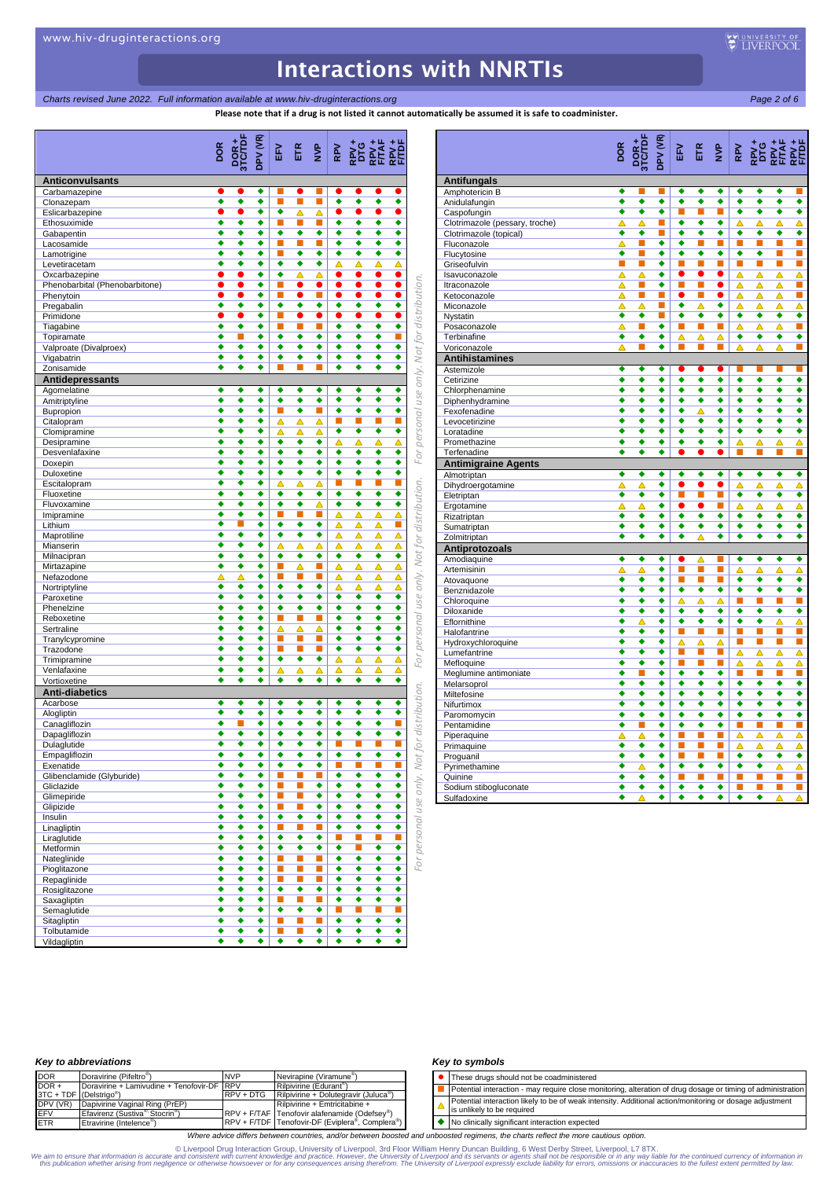*Charts revised June 2022. Full information available at www.hiv-druginteractions.org* Page 2 of 6<sup>2</sup> *Page 2 of 6*<sup>2</sup> *Page 2 of 6*<sup>2</sup>

**Please note that if a drug is not listed it cannot automatically be assumed it is safe to coadminister.**

|                                         | DPV (VR)<br>por <sub>+</sub><br>DOR |                | ETR                  | $\sum_{i=1}^{n}$    |           |           |                                  |
|-----------------------------------------|-------------------------------------|----------------|----------------------|---------------------|-----------|-----------|----------------------------------|
|                                         |                                     | EV.            |                      |                     |           |           |                                  |
|                                         |                                     |                |                      |                     |           |           |                                  |
| <b>Anticonvulsants</b><br>Carbamazepine | ٠                                   |                | e                    |                     |           | 0         |                                  |
| Clonazepam                              | ٠<br>٠<br>٠                         | п              | П                    | п                   | ٠         | ٠         | ٠<br>٠                           |
| Eslicarbazepine                         | ٠                                   | ٠              | Δ                    | Δ                   | 0         | $\bullet$ | 0                                |
| Ethosuximide                            | ٠<br>٠<br>٠                         | п              | П                    | п                   | ٠         | ٠         | ٠<br>٠                           |
| Gabapentin                              | ٠<br>٠<br>٠                         | ٠              | ٠<br>П               | ٠                   | ٠<br>٠    | ٠         | ٠<br>٠<br>٠                      |
| Lacosamide<br>Lamotrigine               | ٠<br>٠<br>٠<br>٠<br>٠<br>٠          | п<br>П         | ٠                    | п<br>٠              | ٠         | ٠<br>٠    | ٠<br>٠<br>٠                      |
| Levetiracetam                           | ٠<br>٠<br>٠                         | ٠              | ٠                    | ٠                   | Δ         | Δ         | Δ<br>Δ                           |
| Oxcarbazepine                           | ٠                                   | ٠              | Δ                    | Δ                   | 0         | $\bullet$ | 0                                |
| Phenobarbital (Phenobarbitone)          | ٠<br>O                              | п              | $\bullet$            | $\bullet$           | $\bullet$ | 0         | $\bullet$                        |
| Phenytoin                               | ٠<br>●                              | п              | ●                    | ×                   | $\bullet$ | ●         | $\bullet$                        |
| Pregabalin                              | ٠<br>٠<br>٠                         | ٠              | ٠                    | ٠                   | ٠         | ٠         | ٠<br>٠                           |
| Primidone                               | ٠<br>٠<br>٠<br>٠                    | п<br>п         | ●<br>Π               | e                   | n<br>٠    | e<br>٠    | O<br>٠<br>٠                      |
| Tiagabine<br>Topiramate                 | ٠<br>п<br>٠                         | ٠              | ٠                    | $\blacksquare$<br>٠ | ٠         | ٠         | ٠<br>п                           |
| Valproate (Divalproex)                  | ٠<br>٠<br>٠                         | ٠              | ٠                    | ٠                   | ٠         | ٠         | ٠<br>٠                           |
| Vigabatrin                              | ٠<br>٠<br>٠                         | ٠              | ٠                    | ٠                   | ٠         | ٠         | ٠<br>٠                           |
| Zonisamide                              | ٠<br>٠<br>٠                         |                |                      |                     | ٠         | ٠         | ٠<br>٠                           |
| Antidepressants                         |                                     |                |                      |                     |           |           |                                  |
| Agomelatine                             | ٠<br>٠<br>٠                         | ٠              | ٠                    | ٠                   | ٠         | ٠         | ٠<br>٠                           |
| Amitriptyline                           | ٠<br>٠<br>٠                         | ٠              | ٠                    | ٠                   | ٠         | ٠         | ٠<br>٠                           |
| Bupropion                               | ٠<br>٠<br>٠                         | п              | $\overline{\bullet}$ | ш                   | ٠         | ٠         | ٠<br>٠                           |
| Citalopram                              | ٠<br>٠<br>٠                         | Δ              | Δ                    | Δ                   | П         | п         | п                                |
| Clomipramine                            | ٠<br>٠<br>٠                         | Δ              | △                    | Δ                   | ٠         | ٠         | ٠<br>٠                           |
| Desipramine                             | ٠<br>٠<br>٠<br>٠<br>٠<br>٠          | ٠<br>٠         | ٠<br>٠               | ٠<br>٠              | Δ<br>٠    | Δ<br>٠    | Δ<br>Δ<br>٠<br>٠                 |
| Desvenlafaxine<br>Doxepin               | ٠<br>٠<br>٠                         | ٠              | ٠                    | ٠                   | ٠         | ٠         | ٠<br>٠                           |
| Duloxetine                              | ٠<br>٠<br>٠                         | ٠              | ٠                    | ٠                   | ٠         | ٠         | ٠<br>٠                           |
| Escitalopram                            | ٠<br>٠<br>٠                         | Δ              | Δ                    | Δ                   | П         | п         | П<br>п                           |
| Fluoxetine                              | ٠<br>٠<br>٠                         | ٠              | ٠                    | ٠                   | ٠         | ٠         | ٠<br>٠                           |
| Fluvoxamine                             | ٠<br>٠<br>٠                         | ٠              | ٠                    | ▵                   | ٠         | ٠         | ٠<br>٠                           |
| Imipramine                              | ٠<br>٠<br>٠                         | п              | г                    | п                   | Δ         | Δ         | Δ<br>Δ                           |
| Lithium                                 | ٠<br>п<br>٠                         | ٠              | ٠                    | ٠                   | Δ         | Δ         | П<br>Δ                           |
| Maprotiline                             | ٠<br>٠<br>٠                         | ٠              | ٠                    | ٠                   | Δ         | Δ         | Δ<br>Δ                           |
| Mianserin                               | ٠<br>٠<br>٠                         | Δ              | Δ                    | △                   | Δ         | Δ         | Δ<br>Δ                           |
| Milnacipran                             | ٠<br>٠<br>٠<br>٠<br>٠<br>٠          | ٠<br>ш         | ٠                    | ٠<br>п              | ٠         | ٠         | ٠<br>٠                           |
| Mirtazapine<br>Nefazodone               | ٠<br>Δ<br>△                         | п              | △<br>П               | П                   | Δ<br>Δ    | △<br>Δ    | △<br>Δ<br>Δ<br>Δ                 |
| Nortriptyline                           | ٠<br>٠<br>٠                         | ٠              | ٠                    | ٠                   | Δ         | Δ         | Δ<br>Δ                           |
| Paroxetine                              | ٠<br>٠<br>٠                         | ٠              | ٠                    | ٠                   | ٠         | ٠         | ٠<br>٠                           |
| Phenelzine                              | ٠<br>٠<br>٠                         | ٠              | ٠                    | ٠                   | ٠         | ٠         | ٠<br>٠                           |
| Reboxetine                              | ٠<br>٠<br>٠                         | п              | П                    | п                   | ٠         | ٠         | ٠<br>٠                           |
| Sertraline                              | ٠<br>٠<br>٠                         | Δ              | Δ                    | Δ                   | ٠         | ٠         | ٠<br>٠                           |
| Tranylcypromine                         | ٠<br>٠<br>٠                         | п              | П                    | п                   | ٠         | ٠         | ٠<br>٠                           |
| Trazodone                               | ٠<br>٠<br>٠                         | $\blacksquare$ | П                    | D.                  | ٠         | ٠         | ٠<br>٠                           |
| Trimipramine                            | ٠<br>٠<br>٠                         | ٠              | ٠                    | ٠                   | Δ         | Δ         | Δ<br>Δ                           |
| Venlafaxine                             | ٠<br>٠<br>٠                         | Δ              | Δ                    | Δ                   | Δ         | Δ         | Δ<br>Δ                           |
| Vortioxetine                            | ٠<br>٠<br>٠                         | ٠              | ٠                    | ٠                   | ٠         | ٠         | ٠<br>٠                           |
| <b>Anti-diabetics</b>                   |                                     |                |                      |                     |           |           |                                  |
| Acarbose                                | ٠<br>٠<br>٠<br>٠<br>٠<br>٠          | ٠<br>٠         | ٠<br>٠               | ٠<br>٠              | ٠<br>٠    | ٠<br>٠    | ٠<br>٠<br>٠                      |
| Alogliptin<br>Canagliflozin             | ٠<br>٠                              | ٠              | ٠                    | ٠                   | ٠         | ٠         | ٠                                |
| Dapagliflozin                           | ٠<br>٠<br>٠                         | ٠              | ٠                    | ٠                   | ٠         | ٠         | ٠<br>٠                           |
| Dulaglutide                             | ٠                                   | ٠              |                      | ٠                   | П         |           | г                                |
| Empagliflozin                           | ٠<br>٠<br>۰                         | ٠              | ٠                    | ٠                   | ٠         | ٠         | ٠<br>٠                           |
| Exenatide                               | ٠<br>٠<br>٠                         | ٠              | ٠                    | ٠                   | U.        | п         | $\mathbb{Z}$<br><b>C</b>         |
| Glibenclamide (Glyburide)               | ٠<br>٠<br>۰                         | ш              | L.                   | п                   | ٠         | ٠         | ٠<br>٠                           |
| Gliclazide                              | ٠<br>٠<br>٠                         | <b>I</b>       | П                    | ٠                   | ٠         | ٠         | ٠<br>٠                           |
| Glimepiride                             | ٠<br>٠<br>۰                         | <b>I</b>       | L.                   | ٠                   | ٠         | ٠         | ٠<br>٠                           |
| Glipizide                               | ٠<br>٠<br>٠                         | п              | П                    | ٠                   | ٠         | ٠         | ٠<br>٠                           |
| Insulin                                 | ٠<br>٠<br>٠<br>٠<br>٠               | ٠<br>п         | ٠<br>П               | ٠<br>п              | ٠<br>٠    | ٠<br>٠    | ٠<br>٠<br>٠<br>٠                 |
| Linagliptin<br>Liraglutide              | ٠<br>٠<br>٠<br>٠                    | ٠              | ٠                    | ٠                   | U.        | п         | L.                               |
| Metformin                               | ٠<br>٠<br>٠                         | ٠              | ٠                    | ٠                   | ٠         | п         | ٠<br>٠                           |
| Nateglinide                             | ٠<br>٠<br>٠                         | Т.             | L.                   | ■                   | ٠         | ٠         | ٠<br>٠                           |
| Pioglitazone                            | ٠<br>٠<br>٠                         | <b>I</b>       | L.                   | п                   | ٠         | ٠         | ٠<br>٠                           |
| Repaglinide                             | ٠<br>٠<br>٠                         | <b>I</b>       | L.                   | п                   | ٠         | ٠         | ٠<br>٠                           |
| Rosiglitazone                           | ٠<br>٠<br>۰                         | ۰              | ٠                    | ٠                   | ٠         | ٠         | ٠<br>٠                           |
| Saxagliptin                             | ٠<br>٠<br>٠                         | $\blacksquare$ | П                    | п                   | ٠         | ٠         | ٠<br>٠                           |
| Semaglutide                             | ٠<br>٠<br>٠                         | ٠              | ٠                    | ٠                   | U.        | ш         | $\mathcal{L}_{\mathcal{A}}$<br>П |
| Sitagliptin                             | ٠<br>٠<br>٠                         | п              | П                    | п                   | ٠         | ٠         | ٠<br>٠                           |
| Tolbutamide                             | ٠<br>٠<br>۰                         | ш              | ш                    | ٠                   | ٠         | ٠         | ٠<br>٠                           |
| Vildagliptin                            | ٠<br>٠<br>٠                         | ٠              | ٠                    | ٠                   | ٠         | ٠         | ٠<br>٠                           |

|                                | DOR                  | DOR+<br>3TC/TDF      | DPV (VR)             |                      |                      |                      |                      |                      |                      |                             |
|--------------------------------|----------------------|----------------------|----------------------|----------------------|----------------------|----------------------|----------------------|----------------------|----------------------|-----------------------------|
| <b>Antifungals</b>             |                      |                      |                      |                      |                      |                      |                      |                      |                      |                             |
| Amphotericin B                 | ٠                    |                      | ш                    | ٠                    | ٠                    | ٠                    | ٠                    | ٠                    | ٠                    |                             |
| Anidulafungin                  | ٠                    | ٠                    | ٠                    | ٠                    | ٠                    | ٠                    | ٠                    | ٠                    | ٠                    | ٠                           |
| Caspofungin                    | ٠                    | ٠                    | ٠                    | п                    | П                    | п                    | ٠                    | ٠                    | ٠                    | ٠                           |
| Clotrimazole (pessary, troche) | Δ                    | Δ                    | п                    | ٠                    | ٠                    | ٠                    | Δ                    | Δ                    | Δ                    | Δ                           |
| Clotrimazole (topical)         | ٠                    | ٠                    | П                    | ٠                    | ٠                    | ٠                    | ٠                    | ٠                    | ٠                    | ٠                           |
| Fluconazole                    | △                    | П                    | ٠                    | ٠                    | П                    | П                    | П                    | П                    | п                    | П                           |
| Flucytosine                    | ۰                    | п                    | ٠                    | $\overline{\bullet}$ | $\overline{\bullet}$ | $\overline{\bullet}$ | $\overline{\bullet}$ | $\overline{\bullet}$ | п                    | П                           |
| Griseofulvin                   | п                    | п                    | ٠                    | п                    | п                    | п                    | п                    | П                    | п                    | П                           |
| Isavuconazole                  | △                    | Δ                    | ٠                    | $\bullet$            | $\bullet$            | $\bullet$            | Δ                    | Δ                    | Δ                    | Δ                           |
| Itraconazole                   | Δ                    | П                    | $\overline{\bullet}$ | П                    | п                    | $\bullet$            | Δ                    | Δ                    | Δ                    | П                           |
| Ketoconazole                   | Δ                    | п                    | п                    | $\bullet$            | п                    |                      | ▵                    | ▵                    | Δ                    | П                           |
| Miconazole                     | ᅀ                    | ᅀ                    | L.                   | ٠                    | Δ                    | ٠                    | Δ                    | ▵                    | Δ                    | Δ                           |
| Nystatin                       | ٠                    | ٠                    | П                    | ٠                    | ٠                    | ٠                    | ٠                    | ٠                    | ٠                    | ◆                           |
| Posaconazole                   | Δ                    | п                    | ٠                    | П                    | П                    | п                    | Δ                    | Δ                    | Δ                    | П                           |
| Terbinafine                    | ٠                    | ٠                    | ٠                    | Δ                    | Δ                    | Δ                    | ٠                    | ٠                    | ٠                    | ٠                           |
| Voriconazole                   | Δ                    | П                    | ٠                    | ш                    | П                    | п                    | Δ                    | Δ                    | Δ                    | П                           |
| <b>Antihistamines</b>          |                      |                      |                      |                      |                      |                      |                      |                      |                      |                             |
| Astemizole                     | ٠                    | ٠                    | ٠                    | ●                    | ●                    | $\bullet$            | ш                    | ш                    | ш                    | <b>COL</b>                  |
| Cetirizine                     | ٠                    | ٠                    | ٠                    | ٠                    | ٠                    | ٠                    | ٠                    | ٠                    | ٠                    | ٠                           |
| Chlorphenamine                 | ٠                    | ٠                    | ٠                    | ٠                    | ٠                    | ٠                    | ٠                    | ٠                    | ٠                    | ◆                           |
| Diphenhydramine                | ٠                    | ٠                    | ٠                    | ٠                    | ٠                    | ٠                    | ٠                    | ٠                    | ٠                    | $\overline{\bullet}$        |
| Fexofenadine                   | $\overline{\bullet}$ | ٠                    | ٠                    | $\overline{\bullet}$ | Δ                    | $\overline{\bullet}$ | $\overline{\bullet}$ | $\overline{\bullet}$ | ٠                    | ◆                           |
| Levocetirizine                 | ٠                    | ٠                    | ٠                    | ٠                    | ٠                    | ٠                    | ٠                    | ٠                    | ٠                    | ٠                           |
| Loratadine                     | ٠                    | ٠                    | ٠                    | ٠                    | ٠                    | ٠                    | ٠                    | ٠                    | ٠                    | ٠                           |
| Promethazine                   | ٠                    | ٠                    | ٠                    | ٠                    | ٠                    | ٠                    | Δ                    | Ā                    | Ā                    | Δ                           |
| Terfenadine                    | ٠                    | ٠                    | ٠                    |                      |                      |                      |                      |                      |                      | Π                           |
| <b>Antimigraine Agents</b>     |                      |                      |                      |                      |                      |                      |                      |                      |                      |                             |
| Almotriptan                    | ٠                    | ٠                    | ٠                    | ٠                    | ٠                    | ٠                    | ٠                    | ٠                    | ٠                    | ٠                           |
| Dihydroergotamine              | ▵                    | △                    | ٠                    | $\bullet$            | 0                    | $\bullet$            | Δ                    | ▵                    | Δ                    | Δ                           |
| Eletriptan                     | $\overline{\bullet}$ | $\overline{\bullet}$ | $\overline{\bullet}$ | П                    | П                    | п                    | $\overline{\bullet}$ | $\overline{\bullet}$ | ٠                    | ٠                           |
|                                | Δ                    | Δ                    | ٠                    | $\bullet$            | $\bullet$            | п                    | △                    | Δ                    | △                    | $\overline{\blacktriangle}$ |
| Ergotamine                     | ٠                    | ٠                    | ٠                    | ٠                    | ٠                    | ٠                    | ٠                    | ٠                    | ٠                    | ٠                           |
| Rizatriptan                    | ٠                    | ٠                    | ٠                    | ٠                    | ٠                    | ٠                    | ٠                    | ٠                    | ٠                    | ٠                           |
| Sumatriptan                    | ∙                    | ∙                    | ∙                    | ∙                    | △                    | ∙                    | ∙                    | $\overline{\bullet}$ | ∙                    | ∙                           |
| Zolmitriptan                   |                      |                      |                      |                      |                      |                      |                      |                      |                      |                             |
| Antiprotozoals                 |                      |                      |                      |                      |                      |                      |                      |                      |                      |                             |
| Amodiaquine                    | ٠                    | ٠                    | ٠                    | $\bullet$            | Δ                    | п                    | ٠                    | ٠                    | ٠                    | ٠                           |
| Artemisinin                    | Δ                    | Δ                    | ٠                    | п                    | П                    | п                    | Δ                    | Δ                    | Δ                    | Δ                           |
| Atovaquone                     | ٠                    | ٠                    | ٠                    | п                    | П                    | п                    | ٠                    | ٠                    | ٠                    | $\overline{\bullet}$        |
| Benznidazole                   | $\overline{\bullet}$ | $\overline{\bullet}$ | $\overline{\bullet}$ | $\overline{\bullet}$ | ◆                    | ∙                    | $\overline{\bullet}$ | ∙                    | $\overline{\bullet}$ | ◆                           |
| Chloroquine                    | ٠                    | ٠                    | ٠                    | Δ                    | Δ                    | Δ                    | П                    | П                    | П                    | П                           |
| Diloxanide                     | ٠                    | ٠                    | ٠                    | ٠                    | ٠                    | ٠                    | ٠                    | ٠                    | ٠                    | ٠                           |
| Eflornithine                   | ٠                    | Δ                    | ٠                    | ٠                    | $\overline{\bullet}$ | $\overline{\bullet}$ | $\overline{\bullet}$ | $\overline{\bullet}$ | Δ                    | Δ                           |
| Halofantrine                   | ٠                    | ٠                    | ٠                    | П                    | П                    | П                    | П                    | П                    | П                    | Ξ                           |
| Hydroxychloroquine             | ٠                    | ٠                    | ٠                    | ▵                    | Δ                    | ▵                    | п                    | ×                    | o,                   | П                           |
| Lumefantrine                   | ٠                    | ٠                    | ٠                    | п                    | п                    | п                    | Δ                    | Δ                    | Δ                    | Δ                           |
| Mefloquine                     | ٠                    | ٠                    | ٠                    | п                    | П                    | п                    | Δ                    | Δ                    | Δ                    | Δ                           |
| Meglumine antimoniate          | ٠                    | п                    | ٠                    | ٠                    | ٠                    | ٠                    | П                    | п                    | П                    | П                           |
| Melarsoprol                    | ٠                    | ٠                    | ٠                    | ٠                    | ٠                    | ٠                    | ٠                    | ٠                    | ٠                    | ٠                           |
| Miltefosine                    | ٠                    | ٠                    | ٠                    | ٠                    | ٠                    | ٠                    | ٠                    | ٠                    | ٠                    | ٠                           |
| Nifurtimox                     | ٠                    | $\overline{\bullet}$ | ٠                    | $\overline{\bullet}$ | ◆                    | $\overline{\bullet}$ | ٠                    | ∙                    | ٠                    | ٠                           |
| Paromomycin                    | ٠                    | ٠                    | ٠                    | ٠                    | ٠                    | ٠                    | ٠                    | ٠                    | ◆                    | ٠                           |
| Pentamidine                    | ∙                    | п                    | ٠                    | $\overline{\bullet}$ | ∙                    | ∙                    | п                    | п                    | п                    | Π                           |
| Piperaquine                    |                      | Δ                    | ٠                    | П                    | П                    | П                    | Δ                    | Δ                    | Δ                    | $\overline{\blacktriangle}$ |
| Primaquine                     | ٠                    | ٠                    | ٠                    | П                    | П                    | П                    | Δ                    | Δ                    | Δ                    | $\overline{\blacktriangle}$ |
| Proguanil                      | ∙                    | ٠                    | ٠                    | п                    | п                    | п                    | ٠                    | ٠                    | ◆                    | ٠                           |
| Pyrimethamine                  | ٠                    |                      | ٠                    | ٠                    | ٠                    | ٠                    | ٠                    | ٠                    | Δ                    | Δ                           |
| Quinine                        | ٠                    | ٠                    | ٠                    | п                    | П                    | п                    | П                    | п                    | E.                   | П                           |
| Sodium stibogluconate          | ٠                    | ٠                    | ٠                    | ٠                    | ٠                    | ٠                    | п                    | п                    | П                    | П                           |
| Sulfadoxine                    | ٠                    | Δ                    | ٠                    | ◆                    | ◆                    | ∙                    | ∙                    | ◆                    | Δ                    | Δ                           |

#### *Key to abbreviations*

| <b>DOR</b>                          | Doravirine (Pifeltro <sup>®</sup> )                    | <b>NVP</b>  | Nevirapine (Viramune <sup>®</sup> )                                       |
|-------------------------------------|--------------------------------------------------------|-------------|---------------------------------------------------------------------------|
| $DOR +$                             | Doravirine + Lamivudine + Tenofovir-DF RPV             |             | Rilpivirine (Edurant <sup>®</sup> )                                       |
| 3TC + TDF (Delstrigo <sup>®</sup> ) |                                                        | $RPV + DTG$ | Rilpivirine + Dolutegravir (Juluca <sup>®</sup>                           |
| DPV (VR)                            | Dapivirine Vaginal Ring (PrEP)                         |             | Rilpivirine + Emtricitabine +                                             |
| <b>EFV</b>                          | Efavirenz (Sustiva <sup>®</sup> Stocrin <sup>®</sup> ) |             | $RPV + F/TAF$ Tenofovir alafenamide (Odefsey <sup>®</sup> )               |
| <b>ETR</b>                          | Etravirine (Intelence <sup>®</sup> )                   |             | RPV + F/TDF Tenofovir-DF (Eviplera <sup>®</sup> , Complera <sup>®</sup> ) |

#### *Key to symbols*

| • These drugs should not be coadministered                                                                                            |
|---------------------------------------------------------------------------------------------------------------------------------------|
| Potential interaction - may require close monitoring, alteration of drug dosage or timing of administration                           |
| Potential interaction likely to be of weak intensity. Additional action/monitoring or dosage adjustment<br>is unlikely to be required |

◆ No clinically significant interaction expected

*Where advice differs between countries, and/or between boosted and unboosted regimens, the charts reflect the more cautious option.*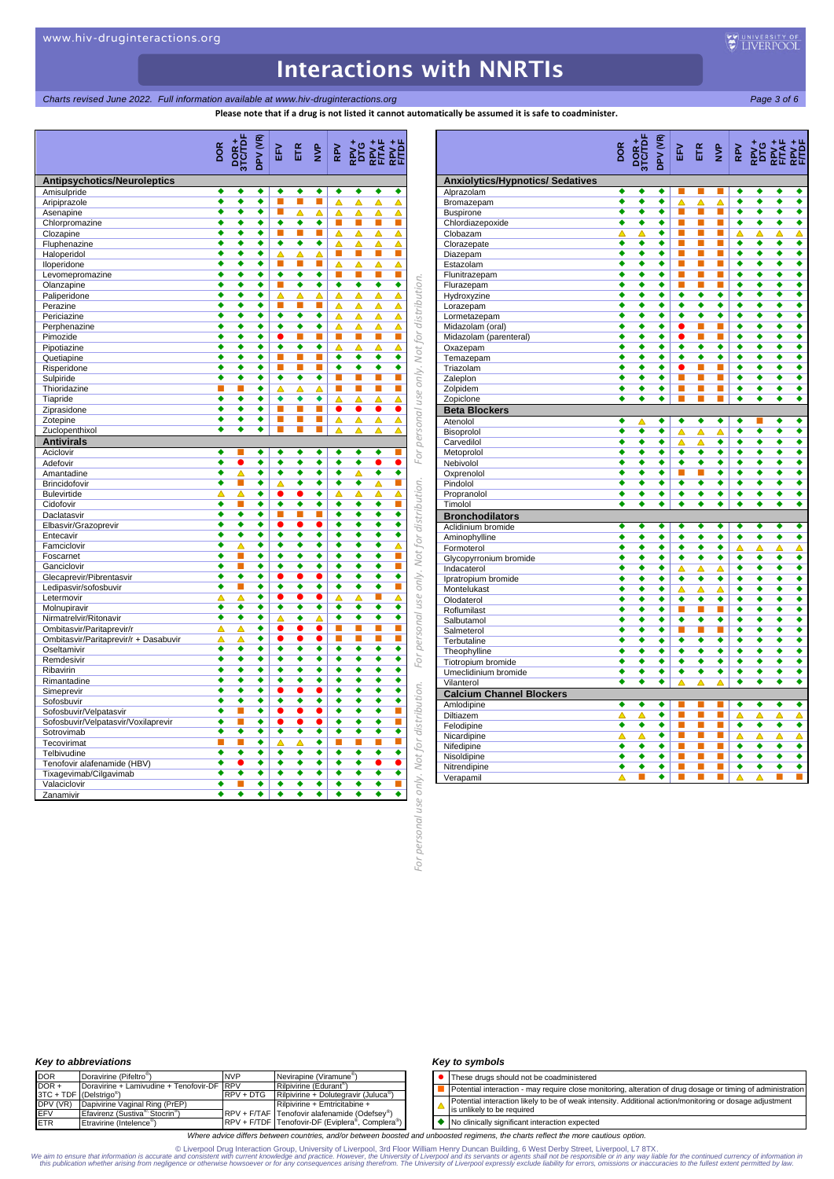*Charts revised June 2022. Full information available at www.hiv-druginteractions.org* Page 3 of 6<sup>2</sup>

**Please note that if a drug is not listed it cannot automatically be assumed it is safe to coadminister.**

|                                                               | DOR    | (PV (VR)<br><b>POR+</b><br>TC/TDF | EFV            |           | ETR <sub>p</sub> |           |               |                             |                      |                            |                                         | <b>DOR</b> |
|---------------------------------------------------------------|--------|-----------------------------------|----------------|-----------|------------------|-----------|---------------|-----------------------------|----------------------|----------------------------|-----------------------------------------|------------|
| <b>Antipsychotics/Neuroleptics</b>                            |        |                                   |                |           |                  |           |               |                             |                      |                            | <b>Anxiolytics/Hypnotics/ Sedatives</b> |            |
| Amisulpride                                                   | ٠      | ٠<br>٠                            | ٠              | ٠         | ٠                | ٠         | ٠             | ٠                           | ٠                    |                            | Alprazolam                              | ٠          |
| Aripiprazole                                                  | ٠      | ٠<br>٠                            | п              | П         | $\blacksquare$   | Δ         | Δ             | Δ                           | △                    |                            | Bromazepam                              | ٠          |
| Asenapine                                                     | ٠      | ٠<br>٠                            | п              | Δ         | Δ                | Δ         | Δ             | Δ                           | △                    |                            | <b>Buspirone</b>                        | ٠          |
| Chlorpromazine                                                | ٠      | ٠<br>٠                            | ٠              | ٠         | ٠                | I.        | <b>C</b>      | $\mathcal{L}_{\mathcal{A}}$ | ■                    |                            | Chlordiazepoxide                        | ٠          |
| Clozapine                                                     | ٠<br>٠ | ٠<br>٠<br>٠<br>٠                  | п<br>٠         | П<br>٠    | п<br>٠           | Δ         | Δ             | Δ                           | △                    |                            | Clobazam                                | Δ<br>٠     |
| Fluphenazine                                                  | ٠      | ٠<br>٠                            | Δ              | Δ         | Δ                | Δ<br>П    | Δ<br>п        | Δ<br>п                      | Δ<br>П               |                            | Clorazepate                             | ٠          |
| Haloperidol<br>Iloperidone                                    | ٠      | ٠<br>٠                            | п              | П         | п                | Δ         | Δ             | Δ                           | Δ                    |                            | Diazepam<br>Estazolam                   | ٠          |
| Levomepromazine                                               | ٠      | ٠<br>٠                            | ٠              | ٠         | ٠                | П         | п             | п                           | П                    |                            | Flunitrazepam                           | ٠          |
| Olanzapine                                                    | ٠      | ٠<br>٠                            | п              | ٠         | ٠                | ٠         | ٠             | ٠                           | ٠                    |                            | Flurazepam                              | ٠          |
| Paliperidone                                                  | ٠      | ٠<br>٠                            | Δ              | Δ         | Δ                | Δ         | Δ             | Δ                           | Δ                    |                            | Hydroxyzine                             | ٠          |
| Perazine                                                      | ٠      | ٠<br>٠                            | п              | П         | п                | Δ         | Δ             | Δ                           | △                    | for distribution.          | Lorazepam                               | ٠          |
| Periciazine                                                   | ٠      | ٠<br>٠                            | ٠              | ٠         | ٠                | Δ         | Δ             | Δ                           | △                    |                            | Lormetazepam                            | ٠          |
| Perphenazine                                                  | ٠      | ٠<br>٠                            | ٠              | ٠         | ٠                | Δ         | Δ             | Δ                           | Δ                    |                            | Midazolam (oral)                        | ٠          |
| Pimozide                                                      | ٠      | ٠<br>٠                            | $\bullet$      | П         | L.               | I.        | <b>C</b>      | $\mathbb{R}^n$              | П                    |                            | Midazolam (parenteral)                  | ٠          |
| Pipotiazine                                                   | ٠      | ٠<br>٠                            | ٠              | ٠         | ٠                | Δ         | Δ             | Δ                           | Δ                    |                            | Oxazepam                                | ٠          |
| Quetiapine                                                    | ٠      | ٠<br>٠                            | п              | П         | ×                | ٠         | ٠             | ٠<br>$\overline{\bullet}$   | ٠                    |                            | Temazepam                               | ٠          |
| Risperidone                                                   | ٠      | ٠<br>٠<br>٠                       | п<br>٠         | П<br>٠    | ×                | ٠         | ٠             |                             | ٠                    |                            | Triazolam                               | ٠<br>٠     |
| Sulpiride                                                     | ٠<br>п | ٠<br>г<br>٠                       | Δ              | Δ         | ٠<br>Δ           | L.<br>L.  | <b>C</b><br>п | o a<br>п                    | п<br>П               |                            | Zaleplon                                | ٠          |
| Thioridazine<br>Tiapride                                      | ٠      | ٠<br>٠                            | ٠              | ٠         | ٠                | Δ         | Δ             | Δ                           | Δ                    |                            | Zolpidem<br>Zopiclone                   | ٠          |
| Ziprasidone                                                   | ٠      | ٠<br>٠                            | п              | П         | п                | $\bullet$ | $\bullet$     | $\bullet$                   | 0                    |                            | <b>Beta Blockers</b>                    |            |
| Zotepine                                                      | ٠      | ٠<br>٠                            | п              | П         | п                | Δ         | Δ             | Δ                           | Δ                    |                            | Atenolol                                | ٠          |
| Zuclopenthixol                                                | ٠      | ٠<br>٠                            | п              | П         | п                | Δ         | Δ             | Δ                           | Δ                    |                            | Bisoprolol                              | ٠          |
| <b>Antivirals</b>                                             |        |                                   |                |           |                  |           |               |                             |                      | personal use only. Not     | Carvedilol                              | ٠          |
| Aciclovir                                                     | ٠      | ٠                                 | ٠              | ٠         | ٠                | ٠         | ٠             | ٠                           |                      |                            | Metoprolol                              | ٠          |
| Adefovir                                                      | ٠      | ٠<br>●                            | ٠              | ٠         | ٠                | ٠         | ٠             | $\bullet$                   |                      | For                        | Nebivolol                               | ٠          |
| Amantadine                                                    | ٠      | Δ<br>٠                            | ٠              | ٠         | ٠                | ٠         | Δ             | ٠                           | ٠                    |                            | Oxprenolol                              | ٠          |
| Brincidofovir                                                 | ٠      | ٠<br>■                            | △              | ٠         | ٠                | ٠         | ٠             | Δ                           | П                    |                            | Pindolol                                | ٠          |
| <b>Bulevirtide</b>                                            | Δ      | Δ<br>٠                            | $\bullet$      | $\bullet$ | ٠                | △         | Δ             | Δ                           | Δ                    |                            | Propranolol                             | ٠          |
| Cidofovir                                                     | ٠      | ٠<br>г                            | ٠              | ٠         | ٠                | ٠         | ٠             | ٠                           | п                    | Not for distribution.      | Timolol                                 | ٠          |
| Daclatasvir                                                   | ٠      | ٠<br>٠                            | п              | П         | ×                | ٠         | ٠             | ٠                           | ٠                    |                            | <b>Bronchodilators</b>                  |            |
| Elbasvir/Grazoprevir                                          | ٠      | ٠<br>٠                            | $\bullet$      | 0         | $\bullet$        | ٠         | ٠             | ٠                           | ٠                    |                            | Aclidinium bromide                      | ٠          |
| Entecavir                                                     | ٠      | ٠<br>٠                            | ٠              | ٠         | ٠                | ٠         | ٠             | ٠                           | ٠                    |                            | Aminophylline                           | ٠          |
| Famciclovir                                                   | ٠      | ٠<br>△<br>п                       | ٠              | ٠         | ٠                | ٠         | ٠<br>٠        | ٠                           | Δ<br>п               |                            | Formoterol                              | ٠          |
| Foscarnet<br>Ganciclovir                                      | ٠<br>٠ | ٠<br>٠                            | ٠<br>٠         | ٠<br>٠    | ٠<br>٠           | ٠<br>٠    | ٠             | ٠<br>٠                      |                      |                            | Glycopyrronium bromide                  | ٠          |
| Glecaprevir/Pibrentasvir                                      | ٠      | ٠<br>٠                            | $\bullet$      | 0         | O                | ٠         | ٠             | ٠                           | ٠                    |                            | Indacaterol                             | ٠<br>٠     |
| Ledipasvir/sofosbuvir                                         | ٠      | ٠<br>г                            | ٠              | ٠         | ٠                | ٠         | ٠             | ٠                           | п                    | only.                      | Ipratropium bromide<br>Montelukast      | ٠          |
| Letermovir                                                    | Δ      | ٠<br>▵                            | $\bullet$      | $\bullet$ | $\bullet$        | △         | △             | П                           | △                    |                            | Olodaterol                              | ٠          |
| Molnupiravir                                                  | ٠      | ٠<br>٠                            | ٠              | ٠         | ٠                | ٠         | ٠             | ٠                           | ٠                    | use                        | Roflumilast                             | ٠          |
| Nirmatrelvir/Ritonavir                                        | ٠      | ٠<br>٠                            | Δ              | ٠         | Δ                | ٠         | ٠             | ٠                           | ٠                    | personal                   | Salbutamol                              | ٠          |
| Ombitasvir/Paritaprevir/r                                     | Δ      | Δ<br>٠                            | $\bullet$      |           | $\bullet$        | п         | п             | П                           | п                    |                            | Salmeterol                              | ٠          |
| Ombitasvir/Paritaprevir/r + Dasabuvir                         | ▵      | ٠<br>ᅀ                            | $\bullet$      | $\bullet$ | $\bullet$        | п         | п             | П                           | п                    |                            | Terbutaline                             | ٠          |
| Oseltamivir                                                   | ٠      | ٠<br>٠                            | ٠              | ٠         | ٠                | ٠         | ٠             | ٠                           | ٠                    |                            | Theophylline                            | ٠          |
| Remdesivir                                                    | ٠      | ٠<br>٠                            | ٠              | ٠         | ٠                | ٠         | ٠             | ٠                           | ٠                    | For                        | Tiotropium bromide                      | ٠          |
| Ribavirin                                                     | ٠      | ٠<br>٠                            | ٠              | ٠         | ٠                | ٠         | ٠             | ٠                           | ٠                    |                            | Umeclidinium bromide                    | ٠          |
| Rimantadine                                                   | ٠      | ٠<br>٠                            | ٠              | ٠         | ٠                | ٠         | ٠             | ٠                           | ٠                    |                            | Vilanterol                              | ٠          |
| Simeprevir                                                    | ٠      | ٠<br>٠                            | $\bullet$      | $\bullet$ | $\bullet$        | ٠         | ٠             | ٠                           | ٠<br>٠               |                            | <b>Calcium Channel Blockers</b>         |            |
| Sofosbuvir                                                    | ٠<br>٠ | ٠<br>٠<br>٠<br>г                  | ٠<br>$\bullet$ | ٠<br>●    | ٠<br>●           | ٠<br>٠    | ٠<br>٠        | ٠<br>٠                      | п                    | distribution.              | Amlodipine                              | ٠          |
| Sofosbuvir/Velpatasvir<br>Sofosbuvir/Velpatasvir/Voxilaprevir | ٠      | ٠                                 | $\bullet$      | 0         | $\bullet$        | ٠         | ٠             | ٠                           |                      |                            | Diltiazem                               | Δ          |
| Sotrovimab                                                    | ٠      | ٠<br>٠                            | ٠              | ٠         | ٠                | ٠         | ٠             | ٠                           | ٠                    |                            | Felodipine                              | ٠          |
| Tecovirimat                                                   | п      | ٠                                 | Δ              | Δ         | ٠                | П         | г             | П                           | H.                   | for                        | Nicardipine                             | Δ          |
| Telbivudine                                                   | ٠      | ٠<br>٠                            | ٠              | ٠         | ٠                | ٠         | ٠             | ٠                           | ٠                    |                            | Nifedipine                              | ٠          |
| Tenofovir alafenamide (HBV)                                   |        |                                   |                |           |                  |           |               |                             |                      |                            | Nisoldipine<br>Nitrendipine             | ٠<br>٠     |
| Tixagevimab/Cilgavimab                                        | ٠      | ٠<br>٠                            | ٠              | ٠         | ٠                | ٠         | ٠             | ٠                           | ٠                    |                            | Verapamil                               | Δ          |
| Valaciclovir                                                  | ٠      | ٠                                 | ٠              | ٠         | ٠                | ٠         | ٠             | ٠                           | $\mathbb{Z}$         |                            |                                         |            |
| Zanamivir                                                     | ٠      | ٠<br>٠                            | ٠              | ٠         | ٠                | ٠         | ٠             | ٠                           | $\overline{\bullet}$ |                            |                                         |            |
|                                                               |        |                                   |                |           |                  |           |               |                             |                      | For personal use only. Not |                                         |            |

|                                         | DOR                  | DOR+<br>3TC/TDF      | DPV (VR)             |                |                     |                             |   |                      |                      |                      |
|-----------------------------------------|----------------------|----------------------|----------------------|----------------|---------------------|-----------------------------|---|----------------------|----------------------|----------------------|
| <b>Anxiolytics/Hypnotics/ Sedatives</b> |                      |                      |                      |                |                     |                             |   |                      |                      |                      |
| Alprazolam                              | ٠                    | ٠                    | ٠                    |                |                     |                             | ٠ | ٠                    | ٠                    | ٠                    |
| Bromazepam                              | ٠                    | ٠                    | ٠                    | Δ              | Δ                   | Δ                           | ٠ | ٠                    | ٠                    | ∙                    |
| <b>Buspirone</b>                        | ٠                    | ٠                    | ٠                    | П              | П                   | П                           | ٠ | ٠                    | ٠                    | ٠                    |
| Chlordiazepoxide                        | ٠                    | ٠                    | ٠                    | П              | п                   | п                           | ٠ | ٠                    | ٠                    | ٠                    |
| Clobazam                                | Δ                    | Δ                    | ٠                    | П              | п                   | ×                           | Δ | Δ                    | Δ                    | Δ                    |
| Clorazepate                             | ٠                    | ٠                    | ٠                    | П              |                     | П                           | ◆ | $\overline{\bullet}$ | $\overline{\bullet}$ | ٠                    |
| Diazepam                                | ٠                    | ٠                    | ٠                    | П              | п                   | ×                           | ٠ | ٠                    | ٠                    | ٠                    |
| Estazolam                               | ◆                    | ∙                    | ◆                    | П              | П                   | П                           | ٠ | ٠                    | ٠                    | ◆                    |
| Flunitrazepam                           | ٠                    | ٠                    | ٠                    | п              | п                   | п                           | ٠ | ٠                    | ٠                    | ٠                    |
| Flurazepam                              | ∙                    | ō                    | ◆                    | п              | п                   | п                           | ◆ | ō                    | ∙                    | ∙                    |
| Hydroxyzine                             | ٠                    | ٠                    | ٠                    | ٠              | ٠                   | ٠                           | ◆ | $\overline{\bullet}$ | ٠                    | ∙                    |
| Lorazepam                               | ٠                    | ٠                    | ٠                    | ٠              | ٠                   | ٠                           | ٠ | ٠                    | ٠                    | ◆                    |
| Lormetazepam                            | ٠                    | ٠                    | ٠                    | ٠              | ٠                   | ٠                           | ٠ | ٠                    | ٠                    | ٠                    |
| Midazolam (oral)                        | ٠                    | ٠                    | ٠                    |                | П                   | П                           | ٠ | ٠                    | ٠                    | ∙                    |
| Midazolam (parenteral)                  | ٠                    | ٠                    | ٠                    | $\bullet$      | п                   | п                           | ٠ | ٠                    | ٠                    | ٠                    |
| Oxazepam                                | ٠                    | ٠                    | ٠                    | ٠              | ٠                   | ٠                           | ٠ | ٠                    | ٠                    | ٠                    |
| Temazepam                               | ٠                    | ٠                    | ٠                    | ٠              | ٠                   | ٠                           | ٠ | ٠                    | ٠                    | ٠                    |
| Triazolam                               | $\overline{\bullet}$ | $\overline{\bullet}$ | $\overline{\bullet}$ | $\bullet$      | п                   | п                           | ◆ | $\overline{\bullet}$ | $\overline{\bullet}$ | ◆                    |
| Zaleplon                                | ٠                    | ٠                    | ٠                    | П              | п                   | m.                          | ٠ | ٠                    | ٠                    | ٠                    |
| Zolpidem                                | ٠                    | ٠                    | ٠                    | П              | П                   | ×                           | ٠ | ٠                    | ٠                    | ٠                    |
| Zopiclone                               | ٠                    | ٠                    | ٠                    | п              | П                   | п                           | ٠ | ٠                    | ٠                    | ∙                    |
| <b>Beta Blockers</b>                    |                      |                      |                      |                |                     |                             |   |                      |                      |                      |
| Atenolol                                | ٠                    | Δ                    | ٠                    | ٠              | ٠                   | ٠                           | ٠ |                      | ٠                    | ٠                    |
| Bisoprolol                              | ٠                    | ٠                    | ٠                    | Δ              | Δ                   | Δ                           | ٠ | ٠                    | ٠                    | ◆                    |
| Carvedilol                              | ٠                    | ٠                    | ٠                    | Δ              | Δ                   | ٠                           | ٠ | ٠                    | ٠                    | ٠                    |
| Metoprolol                              | ٠                    | ٠                    | ٠                    | ٠              | ٠                   | ٠                           | ٠ | ٠                    | ٠                    | ∙                    |
| Nebivolol                               | ٠                    | ٠                    | ٠                    | ٠              | ٠                   | ٠                           | ٠ | ٠                    | ٠                    | ٠                    |
| Oxprenolol                              | ٠                    | ∙                    | $\overline{\bullet}$ | П              | П                   | $\overline{\bullet}$        | ∙ | ٠                    | ٠                    | $\overline{\bullet}$ |
| Pindolol                                | ٠                    | ٠                    | ٠                    | ٠              | ٠                   | ٠                           | ٠ | ٠                    | ٠                    | ٠                    |
| Propranolol                             | $\overline{\bullet}$ | ∙                    | $\overline{\bullet}$ | ◆              | ◆                   | $\overline{\bullet}$        | ◆ | ◆                    | ∙                    | ∙                    |
| Timolol                                 | ٠                    | ٠                    | ٠                    | ٠              | ٠                   | ٠                           | ٠ | ٠                    | ٠                    | ٠                    |
| <b>Bronchodilators</b>                  |                      |                      |                      |                |                     |                             |   |                      |                      |                      |
| Aclidinium bromide                      | ٠                    | ٠                    | ٠                    | ٠              | ٠                   | ٠                           | ٠ | ٠                    | ٠                    | ٠                    |
| Aminophylline                           | ٠                    | ٠                    | ٠                    | ∙              | ∙                   | $\overline{\bullet}$        | ∙ | ∙                    | ◆                    | ٠                    |
| Formoterol                              | ٠                    | ٠                    | ٠                    | ٠              | ٠                   | ٠                           | Δ | Δ                    | Δ                    | Δ                    |
| Glycopyrronium bromide                  | ٠                    | ٠                    | ٠                    | ٠              | ٠                   | ٠                           | ٠ | ٠                    | ٠                    | $\overline{\bullet}$ |
| Indacaterol                             | ٠                    | ◆                    | ◆                    | Δ              | $\overline{\Delta}$ | $\overline{\blacktriangle}$ | ٠ | ٠                    | ٠                    | ◆                    |
| Ipratropium bromide                     | ٠                    | ٠                    | ٠                    | ٠              | ٠                   | ٠                           | ٠ | ٠                    | ◆                    | ∙                    |
| Montelukast                             | ٠                    | ٠                    | ٠                    | Δ              | Δ                   | Δ                           | ٠ | ٠                    | ٠                    | ٠                    |
| Olodaterol                              | ٠                    | ٠                    | ٠                    | ٠              | ٠                   | ٠                           | ٠ | ٠                    | ٠                    | $\overline{\bullet}$ |
| Roflumilast                             | ٠                    | ٠                    | ٠                    | п              | п                   | ×                           | ٠ | ٠                    | ٠                    | ٠                    |
| Salbutamol                              | ٠                    | ٠                    | ٠                    | ٠              | ٠                   | ٠                           | ٠ | ٠                    | ٠                    | ٠                    |
| Salmeterol                              | ٠                    | ٠                    | ٠                    | П              | П                   | П                           | ∙ | ◆                    | ∙                    | ∙                    |
| Terbutaline                             | ٠                    | ٠                    | ٠                    | ٠              | ٠                   | ٠                           | ٠ | $\overline{\bullet}$ | $\overline{\bullet}$ | ∙                    |
| Theophylline                            | ٠                    | ٠                    | ٠                    | ٠              | ٠                   | ٠                           | ٠ | ٠                    | ٠                    | ٠                    |
| Tiotropium bromide                      | ٠                    | ٠                    | ٠                    | ٠              | ٠                   | ٠                           | ٠ | ٠                    | ٠                    | ٠                    |
| Umeclidinium bromide                    | ٠                    | ٠                    | ٠                    | ∙              | ∙                   | $\overline{\bullet}$        | ٠ | ٠                    | ∙                    | ∙                    |
| Vilanterol                              | ٠                    | ٠                    | ٠                    | Δ              | Δ                   | Δ                           | ◆ | ٠                    | ٠                    | ٠                    |
| <b>Calcium Channel Blockers</b>         |                      |                      |                      |                |                     |                             |   |                      |                      |                      |
| Amlodipine                              | ٠                    | ٠                    | ٠                    |                |                     | п                           | ٠ | ٠                    | ٠                    | ٠                    |
| Diltiazem                               | Δ                    | Δ                    | ٠                    | п              | п                   | п                           | Δ | △                    | Δ                    | Δ                    |
| Felodipine                              | ٠                    | ٠                    | ٠                    | $\blacksquare$ | П                   | í                           | ٠ | ٠                    | ٠                    | ٠                    |
| Nicardipine                             | Δ                    | Δ                    | ٠                    | L.             | ш                   | <b>I</b>                    | △ | ▵                    | Δ                    | Δ                    |
| Nifedipine                              | ٠                    | ٠                    | ٠                    | п              | п                   | m.                          | ٠ | ٠                    | ٠                    | ◆                    |
| Nisoldipine                             | ٠                    | ٠                    | ٠                    | п              | п                   | п                           | ٠ | ٠                    | ٠                    | ٠                    |
| Nitrendipine                            | ٠                    | ٠                    | ٠                    | П              | П                   | п                           | ٠ | ٠                    | ٠                    | $\overline{\bullet}$ |
| Verapamil                               | Δ                    | i.                   | ٠                    | п              | ×                   | L.                          | Δ | Δ                    |                      | ш                    |

#### *Key to abbreviations*

| <b>DOR</b>                          | Doravirine (Pifeltro <sup>®</sup> )                     | <b>NVP</b> | Nevirapine (Viramune <sup>®</sup> )             |
|-------------------------------------|---------------------------------------------------------|------------|-------------------------------------------------|
| $DOR +$                             | Doravirine + Lamivudine + Tenofovir-DF RPV              |            | Rilpivirine (Edurant®)                          |
| 3TC + TDF (Delstrigo <sup>®</sup> ) |                                                         | RPV + DTG  | Rilpivirine + Dolutegravir (Juluca <sup>®</sup> |
| DPV (VR)                            | Dapivirine Vaginal Ring (PrEP)                          |            | Rilpivirine + Emtricitabine +                   |
| EFV                                 | Efavirenz (Sustiva <sup>®,</sup> Stocrin <sup>®</sup> ) |            | RPV + F/TAF Tenofovir alafenamide (Odefsey®)    |
| <b>ETR</b>                          | Etravirine (Intelence <sup>®)</sup>                     |            | RPV + F/TDF Tenofovir-DF (Eviplera®, Complera®) |

### *Key to symbols*

⚫ These drugs should not be coadministered Potential interaction - may require close monitoring, alteration of drug dosage or timing of administration Potential interaction likely to be of weak intensity. Additional action/monitoring or dosage adjustment  $\Delta$ is unlikely to be required

◆ No clinically significant interaction expected

*Where advice differs between countries, and/or between boosted and unboosted regimens, the charts reflect the more cautious option.*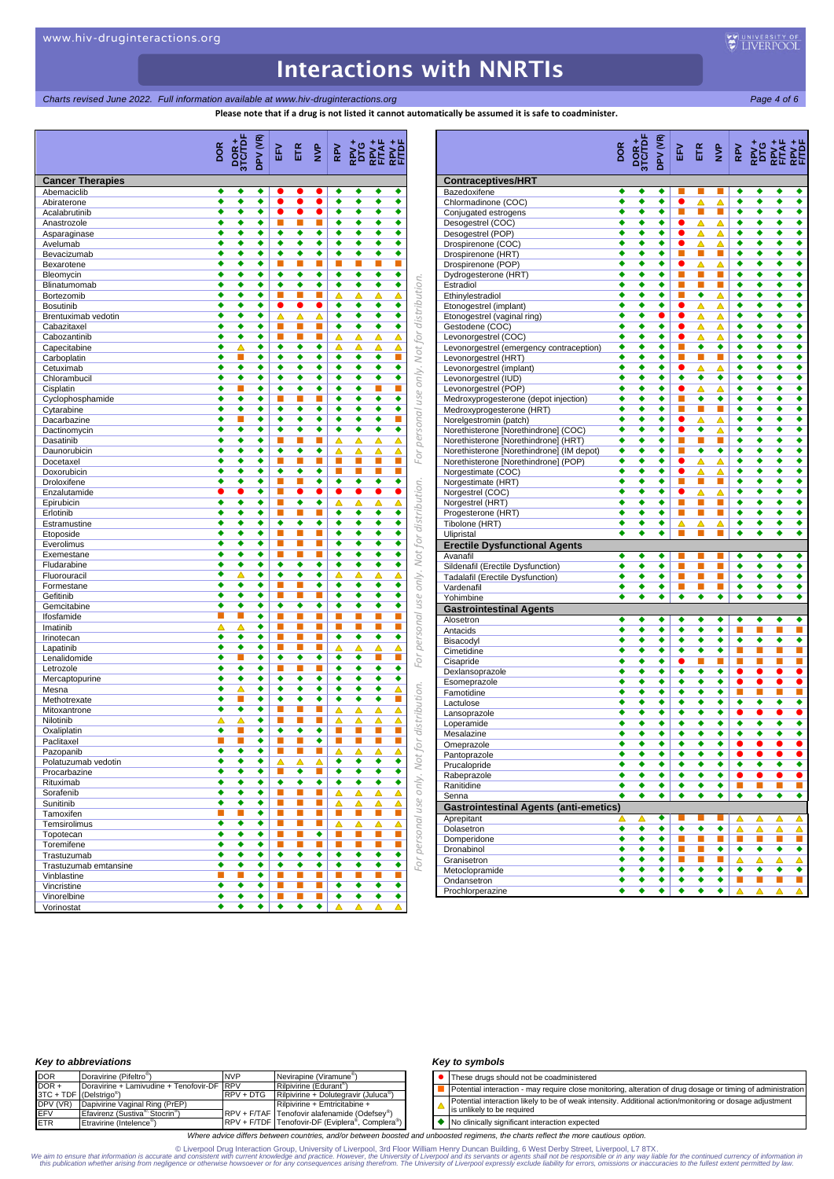**Charts revised June 2022. Full information available at www.hiv-druginteractions.org Page 4 of 6** Page 4 of 6

tomatically be assumed it is safe to coadminister.

|                              | Please note that if a drug is not listed it cannot automatically be assumed it is safe to coadminister. |          |                                                  |                        |                |                |                             |                                                                       |
|------------------------------|---------------------------------------------------------------------------------------------------------|----------|--------------------------------------------------|------------------------|----------------|----------------|-----------------------------|-----------------------------------------------------------------------|
|                              | DOR+<br>3TC/TDF<br><b>DOR</b>                                                                           | DPV (VR) | ETR<br>EFV                                       | $\sum_{i=1}^{n}$       | RPV            |                |                             |                                                                       |
| <b>Cancer Therapies</b>      |                                                                                                         |          |                                                  |                        |                |                |                             | <b>Contraceptives/HRT</b>                                             |
| Abemaciclib                  | ٠<br>٠                                                                                                  | ٠        |                                                  |                        | ٠              | ٠              | ٠<br>٠                      | ٠<br>Bazedoxifene<br>٠                                                |
| Abiraterone<br>Acalabrutinib | ٠<br>٠<br>٠<br>٠                                                                                        | ٠<br>٠   | $\bullet$<br>$\bullet$<br>$\bullet$<br>$\bullet$ | $\bullet$<br>$\bullet$ | ٠<br>٠         | ٠<br>٠         | ٠                           | Chlormadinone (COC)<br>٠<br>Conjugated estrogens                      |
| Anastrozole                  | ٠<br>٠                                                                                                  | ٠        | П<br>$\blacksquare$                              | ■                      | ٠              | ٠              | ٠                           | ٠<br>Desogestrel (COC)                                                |
| Asparaginase                 | ٠<br>٠                                                                                                  | ٠        | ٠<br>٠                                           | ٠                      | ٠              | ٠              | ٠                           | ٠<br>Desogestrel (POP)                                                |
| Avelumab                     | ٠<br>٠                                                                                                  | ٠        | ٠<br>٠                                           | ٠                      | ٠              | ٠              | ٠                           | Drospirenone (COC)<br>٠                                               |
| Bevacizumab                  | ٠<br>٠                                                                                                  | ٠        | ٠<br>٠                                           | ٠                      | ٠              | ٠              | ٠                           | ٠<br>Drospirenone (HRT)                                               |
| Bexarotene                   | ٠<br>٠                                                                                                  | ٠        | П<br>п                                           | п                      | П              | п              | п                           | Drospirenone (POP)                                                    |
| Bleomycin                    | ٠<br>٠                                                                                                  | ٠        | ٠<br>٠                                           | ٠                      | ٠              | ٠              | ٠                           | ٠<br>Dydrogesterone (HRT)                                             |
| Blinatumomab                 | ٠<br>٠                                                                                                  | ٠        | ٠<br>٠                                           | ٠                      | ٠              | ٠              | ٠                           | ٠<br>Estradiol                                                        |
| Bortezomib                   | ٠<br>٠                                                                                                  | ٠        | п<br>п                                           | п                      | Δ              | Δ              | Δ                           | for distribution.<br>Ethinylestradiol<br>Δ                            |
| <b>Bosutinib</b>             | ٠<br>٠                                                                                                  | ٠        | $\bullet$<br>$\bullet$                           | $\bullet$              | ٠              | ٠              | ٠                           | ٠<br>Etonogestrel (implant)                                           |
| Brentuximab vedotin          | ٠<br>٠                                                                                                  | ٠        | Δ<br>Δ                                           | Δ                      | ٠              | ٠              | ٠                           | ٠<br>Etonogestrel (vaginal ring)                                      |
| Cabazitaxel                  | ٠<br>٠<br>٠                                                                                             | ٠<br>٠   | П<br>■<br>п<br>п                                 | п<br>п                 | ٠              | ٠              | ٠                           | ٠<br>Gestodene (COC)<br>Δ                                             |
| Cabozantinib<br>Capecitabine | ٠<br>Δ                                                                                                  | ٠        | ٠<br>٠                                           | ٠                      | Δ<br>Δ         | Δ<br>Δ         | Δ<br>Δ                      | Levonorgestrel (COC)<br>Δ<br>Levonorgestrel (emergency contraception) |
| Carboplatin                  | ٠                                                                                                       | ٠        | ٠<br>٠                                           | ٠                      | ٠              | ٠              | ٠                           | only. Not<br>П<br>Levonorgestrel (HRT)                                |
| Cetuximab                    | ٠<br>٠                                                                                                  | ٠        | ٠<br>٠                                           | ٠                      | ٠              | ٠              | ٠                           | ٠<br>Levonorgestrel (implant)                                         |
| Chlorambucil                 | ٠<br>٠                                                                                                  | ٠        | ٠<br>٠                                           | ٠                      | ٠              | ٠              | ٠                           | ٠<br>Levonorgestrel (IUD)                                             |
| Cisplatin                    | ٠                                                                                                       | ٠        | ٠<br>٠                                           | ٠                      | ٠              | ٠              | П                           | П<br>Levonorgestrel (POP)                                             |
| Cyclophosphamide             | ٠<br>٠                                                                                                  | ٠        | П<br>п                                           | п                      | ٠              | ٠              | ٠                           | personal use<br>٠<br>Medroxyprogesterone (depot injection)            |
| Cytarabine                   | ٠<br>٠                                                                                                  | ٠        | ٠<br>٠                                           | ٠                      | ٠              | ٠              | ٠                           | ٠<br>Medroxyprogesterone (HRT)                                        |
| Dacarbazine                  | ٠                                                                                                       | ٠        | ٠<br>٠                                           | ٠                      | ٠              | ٠              | ٠                           | Norelgestromin (patch)                                                |
| Dactinomycin                 | ٠<br>٠                                                                                                  | ٠        | ٠<br>٠                                           | ٠                      | ٠              | ٠              | ٠                           | ٠<br>Norethisterone [Norethindrone] (COC)                             |
| Dasatinib                    | ٠<br>٠                                                                                                  | ٠        | П<br>г                                           | п                      | Δ              | Δ              | Δ                           | Norethisterone [Norethindrone] (HRT)<br>Δ                             |
| Daunorubicin                 | ٠<br>٠                                                                                                  | ٠        | ٠<br>٠                                           | ٠                      | Δ              | Δ              | Δ                           | Norethisterone [Norethindrone] (IM depot)<br>Δ<br>For                 |
| Docetaxel                    | ٠<br>٠                                                                                                  | ٠        | П<br>г                                           | п                      | П              | п              | П                           | Norethisterone [Norethindrone] (POP)                                  |
| Doxorubicin                  | ٠<br>٠                                                                                                  | ٠        | ٠<br>٠                                           | ٠                      | П              | п              | П                           | П<br>Norgestimate (COC)                                               |
| Droloxifene                  | ٠<br>٠                                                                                                  | ٠<br>٠   | П<br>г<br>0<br>ш                                 | ٠<br>$\bullet$         | ٠<br>$\bullet$ | ٠<br>$\bullet$ | ٠<br>$\bullet$              | ٠<br>Norgestimate (HRT)<br>0                                          |
| Enzalutamide<br>Epirubicin   | ٠<br>٠                                                                                                  | ٠        | п<br>٠                                           | ٠                      | Δ              | Δ              | Δ                           | Norgestrel (COC)<br>Δ<br>Norgestrel (HRT)                             |
| Erlotinib                    | ٠<br>٠                                                                                                  | ٠        | П<br>ш                                           | п                      | ٠              | ٠              | ٠                           | ٠<br>Progesterone (HRT)                                               |
| Estramustine                 | ٠<br>٠                                                                                                  | ٠        | ٠<br>٠                                           | ٠                      | ٠              | ٠              | ٠                           | only. Not for distribution.<br>٠<br>Tibolone (HRT)                    |
| Etoposide                    | ٠<br>٠                                                                                                  | ٠        | П<br>П                                           | п                      | ٠              | ٠              | ◆                           | ٠<br>Ulipristal                                                       |
| Everolimus                   | ٠<br>٠                                                                                                  | ٠        | п<br>п                                           | п                      | ٠              | ٠              | ٠                           | ٠<br><b>Erectile Dysfunctional Agents</b>                             |
| Exemestane                   | ٠<br>٠                                                                                                  | ٠        | L.<br>■                                          | п                      | ٠              | ٠              | ٠                           | ٠<br>Avanafil                                                         |
| Fludarabine                  | ٠<br>٠                                                                                                  | ٠        | ٠<br>٠                                           | ٠                      | ٠              | ٠              | ٠                           | ٠<br>Sildenafil (Erectile Dysfunction)                                |
| Fluorouracil                 | ٠<br>▵                                                                                                  | ٠        | ٠<br>٠                                           | ٠                      | Δ              | Δ              | Δ                           | Δ<br>Tadalafil (Erectile Dysfunction)                                 |
| Formestane                   | ٠<br>٠                                                                                                  | ٠        | п<br>▅                                           | ٠                      | ٠              | ٠              | ٠                           | ٠<br>Vardenafil                                                       |
| Gefitinib                    | ٠<br>٠                                                                                                  | ٠        | п<br>п                                           | п                      | ٠              | ٠              | ٠                           | ٠<br>Yohimbine                                                        |
| Gemcitabine                  | ٠<br>٠<br>г                                                                                             | ٠<br>٠   | ٠<br>٠<br>п                                      | ٠<br>п                 | ٠<br>П         | ٠<br>▅         | ٠<br>п                      | personal use<br>٠<br><b>Gastrointestinal Agents</b>                   |
| Ifosfamide                   | ■<br>▵                                                                                                  | ٠        | п<br>п<br>п                                      | п                      | П              | п              | П                           | Alosetron<br>■                                                        |
| Imatinib<br>Irinotecan       | ▵<br>٠<br>٠                                                                                             | ٠        | п<br>п                                           | п                      | ٠              | ٠              | ٠                           | Antacids<br>٠                                                         |
| Lapatinib                    | ٠<br>٠                                                                                                  | ٠        | ш<br>ш                                           |                        | △              | Δ              | Δ                           | Bisacodyl<br>△                                                        |
| Lenalidomide                 | ٠                                                                                                       | ٠        | ٠<br>٠                                           | ٠                      | ٠              | ٠              | П                           | Cimetidine<br>For                                                     |
| Letrozole                    | ٠<br>٠                                                                                                  | ٠        | П<br>п                                           | п                      | ٠              | ٠              | ٠                           | Cisapride<br>٠                                                        |
| Mercaptopurine               | ٠<br>٠                                                                                                  | ٠        | ٠<br>٠                                           | ٠                      | ٠              | ٠              | ٠                           | Dexlansoprazole<br>٠                                                  |
| Mesna                        | ٠<br>▵                                                                                                  | ٠        | ٠<br>٠                                           | ٠                      | ٠              | ٠              | ٠                           | Esomeprazole<br>distribution.<br>Δ<br>Famotidine                      |
| Methotrexate                 | ٠                                                                                                       | ٠        | ٠<br>٠                                           | ٠                      | ٠              | ٠              | ٠                           | п<br>Lactulose                                                        |
| Mitoxantrone                 | ٠<br>٠                                                                                                  | ٠        | п<br>П                                           | п                      | Δ              | Δ              | Δ                           | Δ<br>Lansoprazole                                                     |
| Nilotinib                    | Δ<br>Δ                                                                                                  | ٠        | п<br>П                                           | п                      | Δ              | △              | △                           | Δ<br>Loperamide                                                       |
| Oxaliplatin                  | ٠                                                                                                       | ٠        | ٠<br>٠                                           | ٠                      | П              | п              | п                           | Mesalazine                                                            |
| Paclitaxel                   |                                                                                                         | ٠        |                                                  | ٠                      |                |                |                             | Omeprazole                                                            |
| Pazopanib                    | ٠<br>٠                                                                                                  | ٠        | п<br>п                                           | п                      | Δ              | Δ              | Δ                           | only. Not for<br>Δ<br>Pantoprazole                                    |
| Polatuzumab vedotin          | ٠<br>٠                                                                                                  | ٠        | Δ<br>Δ                                           | Δ                      | ۰              | ٠              | ٠<br>$\overline{\bullet}$   | ٠<br>Prucalopride<br>٠                                                |
| Procarbazine                 | ٠<br>٠<br>٠                                                                                             | ٠<br>٠   | п<br>٠<br>٠                                      | ٠                      | ٠<br>٠         | ٠              | ٠                           | Rabeprazole<br>٠                                                      |
| Rituximab                    | ٠<br>٠<br>٠                                                                                             | ٠        | ٠<br>п<br>П                                      | п                      | Δ              | ٠              | △                           | Ranitidine<br>Δ                                                       |
| Sorafenib<br>Sunitinib       | ٠<br>٠                                                                                                  | ٠        | п<br>п                                           | п                      | Δ              | △<br>Δ         | Δ                           | Senna<br>△                                                            |
| Tamoxifen                    | п<br>г                                                                                                  | ٠        | п<br>п                                           | п                      | u.             | п              | п                           | <b>Gastrointestinal Agents (anti-emetics)</b><br>п                    |
| Temsirolimus                 | ٠<br>٠                                                                                                  | ٠        | п<br>п                                           | ш                      | Δ              | Δ              | Δ                           | personal use<br>Aprepitant<br>ᅀ                                       |
| Topotecan                    | ٠<br>٠                                                                                                  | ٠        | п<br>П                                           | ٠                      | L.             | <b>C</b>       | п                           | Dolasetron                                                            |
| Toremifene                   | ٠<br>٠                                                                                                  | ٠        | П<br>п                                           | п                      | u.             | п              | $\mathcal{L}_{\mathcal{A}}$ | Domperidone                                                           |
| Trastuzumab                  | ٠<br>٠                                                                                                  | ٠        | ٠<br>٠                                           | ٠                      | ٠              | ٠              | ٠                           | Dronabinol<br>٠                                                       |
| Trastuzumab emtansine        | ٠<br>٠                                                                                                  | ٠        | ٠<br>٠                                           | ٠                      | ٠              | ٠              | ٠                           | Granisetron<br>For<br>٠                                               |
| Vinblastine                  | П<br>▄                                                                                                  | ٠        | п<br>п                                           | п                      | U.             | п              | П                           | Metoclopramide<br>П                                                   |
| Vincristine                  | ٠<br>٠                                                                                                  | ٠        | п<br>п                                           | п                      | ٠              | ٠              | ٠                           | Ondansetron<br>٠                                                      |
| Vinorelbine                  | ٠<br>٠                                                                                                  | ٠        | П<br>п                                           | п                      | ٠              | ٠              | ٠                           | Prochlorperazine<br>٠                                                 |
| Vorinostat                   | ٠<br>٠                                                                                                  | ٠        | ٠<br>٠                                           | ٠                      | △              |                | Δ                           | Δ                                                                     |

|                                                                                   | DOR    |                      | DPV (VR)       | EF <sub>N</sub>        | $E$ $\geq$ |               |                |                                  |                             |                           |
|-----------------------------------------------------------------------------------|--------|----------------------|----------------|------------------------|------------|---------------|----------------|----------------------------------|-----------------------------|---------------------------|
| <b>Contraceptives/HRT</b>                                                         |        |                      |                |                        |            |               |                |                                  |                             |                           |
| Bazedoxifene                                                                      | ٠<br>٠ | ٠                    | ٠<br>٠         | п                      | п          | п             | ٠<br>٠         | ٠<br>٠                           | ٠<br>٠                      | ٠<br>٠                    |
| Chlormadinone (COC)<br>Conjugated estrogens                                       | ٠      | ٠                    | ٠              | п                      | Δ<br>×     | Δ<br>п        | ٠              | ٠                                | ٠                           | ٠                         |
| Desogestrel (COC)                                                                 | ٠      | ٠                    | ٠              | $\bullet$              | Δ          | Δ             | ٠              | ٠                                | ٠                           | ٠                         |
| Desogestrel (POP)                                                                 | ٠      | ٠                    | ٠              | $\bullet$              | Δ          | Δ             | ٠              | ٠                                | ٠                           | ٠                         |
| Drospirenone (COC)                                                                | ٠      | $\overline{\bullet}$ | ٠              |                        | Δ          | Δ             | ٠              | ٠                                | ٠                           | ٠                         |
| Drospirenone (HRT)<br>Drospirenone (POP)                                          | ٠<br>٠ | ٠<br>٠               | ٠<br>٠         | п                      | п<br>Δ     | п<br>Δ        | ٠<br>٠         | ٠<br>٠                           | ٠<br>٠                      | ٠<br>٠                    |
| Dydrogesterone (HRT)                                                              | ٠      | ٠                    | ٠              | п                      | п          | п             | ٠              | ٠                                | ٠                           | ٠                         |
| Estradiol                                                                         | ٠      | ٠                    | ٠              | п                      | T.         | п             | ٠              | ٠                                | ٠                           | ٠                         |
| Ethinylestradiol                                                                  | ٠      | ٠                    | ٠              | п                      | ٠          | ▵             | ٠              | ٠                                | ٠                           | ٠                         |
| Etonogestrel (implant)                                                            | ٠      | ٠                    | ٠              | $\bullet$              | Δ          | Δ             | ٠              | ٠                                | ٠<br>٠                      | ٠<br>٠                    |
| Etonogestrel (vaginal ring)<br>Gestodene (COC)                                    | ٠<br>٠ | ٠<br>٠               | $\bullet$<br>٠ | $\bullet$<br>$\bullet$ | Δ<br>Δ     | Δ<br>Δ        | ٠<br>٠         | ٠<br>٠                           | ٠                           | ٠                         |
| Levonorgestrel (COC)                                                              | ٠      | ٠                    | ٠              | $\bullet$              | Δ          | Δ             | ٠              | ٠                                | ٠                           | ٠                         |
| Levonorgestrel (emergency contraception)                                          | ٠      | ٠                    | ٠              | п                      | ٠          | ٠             | ٠              | ٠                                | ٠                           | ٠                         |
| Levonorgestrel (HRT)                                                              | ٠      | ٠                    | ٠              | п                      | п          | п             | ٠              | ٠                                | ٠                           | ٠                         |
| Levonorgestrel (implant)                                                          | ٠<br>٠ | ٠<br>٠               | ٠<br>٠         | $\bullet$<br>٠         | △<br>٠     | Δ<br>٠        | ٠<br>٠         | ٠<br>٠                           | ٠<br>٠                      | ٠<br>٠                    |
| Levonorgestrel (IUD)<br>Levonorgestrel (POP)                                      | ٠      | ٠                    | ٠              | $\bullet$              | Δ          | Δ             | ٠              | ٠                                | ٠                           | ٠                         |
| Medroxyprogesterone (depot injection)                                             | ٠      | ٠                    | ٠              |                        | ٠          | ٠             | ٠              | ٠                                | ٠                           | ٠                         |
| Medroxyprogesterone (HRT)                                                         | ٠      | ٠                    | ٠              | п                      | п          | П             | ٠              | ٠                                | ٠                           | ٠                         |
| Norelgestromin (patch)                                                            | ٠      | ٠                    | ٠              | $\bullet$              | Δ          | Δ             | ٠              | ٠                                | ٠                           | ٠                         |
| Norethisterone [Norethindrone] (COC)                                              | ٠      | ٠                    | ٠              | $\bullet$              | ٠          | Δ             | ٠              | ٠                                | ٠                           | ٠                         |
| Norethisterone [Norethindrone] (HRT)<br>Norethisterone [Norethindrone] (IM depot) | ٠<br>٠ | ٠<br>٠               | ٠<br>٠         | п<br>n                 | ×<br>٠     | П<br>٠        | ٠<br>٠         | ٠<br>٠                           | ٠<br>٠                      | ٠<br>٠                    |
| Norethisterone [Norethindrone] (POP)                                              | ٠      | ٠                    | ٠              | $\bullet$              | Δ          | Δ             | ٠              | ٠                                | ٠                           | ٠                         |
| Norgestimate (COC)                                                                | ٠      | ٠                    | ٠              | $\bullet$              | Δ          | Δ             | ٠              | ٠                                | ٠                           | ٠                         |
| Norgestimate (HRT)                                                                | ٠      | ٠                    | ٠              | п                      | ×          | m.            | ٠              |                                  |                             | ٠                         |
| Norgestrel (COC)                                                                  | ٠      | ٠                    | ٠              | $\bullet$              | Δ          | Δ             | ٠              | ٠                                | ٠                           | ٠                         |
| Norgestrel (HRT)                                                                  | ٠      | ٠                    | ٠              | п                      | п          | m.            | ٠              | ٠                                | ٠                           | ٠                         |
| Progesterone (HRT)<br>Tibolone (HRT)                                              | ٠<br>٠ | ٠<br>٠               | ٠<br>٠         | п<br>Δ                 | п<br>Δ     | ×<br>Δ        | ٠<br>٠         | ٠<br>٠                           | ٠<br>٠                      | ٠<br>٠                    |
| Ulipristal                                                                        | ٠      | ٠                    | ٠              |                        |            |               | ٠              | ٠                                | ٠                           | ٠                         |
| <b>Erectile Dysfunctional Agents</b>                                              |        |                      |                |                        |            |               |                |                                  |                             |                           |
| Avanafil                                                                          | ٠      | ٠                    | ٠              | п                      | п          | п             | ٠              | ٠                                | ٠                           | ٠                         |
| Sildenafil (Erectile Dysfunction)                                                 | ٠      | ٠                    | ٠              | ū                      | ×          | ū             | ٠              | ٠                                | ٠                           | ◆                         |
| Tadalafil (Erectile Dysfunction)<br>Vardenafil                                    | ٠<br>٠ | ٠<br>٠               | ٠<br>٠         | п<br>п                 | п<br>×     | п<br>п        | ٠<br>٠         | ٠                                | ٠<br>٠                      | ٠<br>٠                    |
| Yohimbine                                                                         |        | ٠                    | ٠              | ٠                      | ٠          | ٠             | ٠              | ٠                                | ٠                           | ٠                         |
| <b>Gastrointestinal Agents</b>                                                    |        |                      |                |                        |            |               |                |                                  |                             |                           |
| Alosetron                                                                         | ٠      | ٠                    | ٠              | ٠                      | ٠          | ٠             | ٠              | ٠                                | ٠                           | ٠                         |
| Antacids                                                                          | ٠      | ٠                    | ٠              | ٠                      | ٠          | ٠             | ×              |                                  |                             | П                         |
| Bisacodyl<br>Cimetidine                                                           | ٠<br>٠ | ٠<br>٠               | ٠<br>٠         | ٠<br>٠                 | ٠<br>٠     | ٠<br>٠        | ٠<br>П         | ٠                                | ٠                           | ٠<br>П                    |
| Cisapride                                                                         | ٠      | ٠                    | ٠              | $\bullet$              | п          | п             | п              | п                                | П                           | П                         |
| Dexlansoprazole                                                                   | ٠      | ٠                    | ٠              | ٠                      | ٠          | ٠             | $\bullet$      | $\bullet$                        | $\bullet$                   | $\bullet$                 |
| Esomeprazole                                                                      | ٠      | ٠                    | ٠              | ٠                      | ٠          | ٠             | $\bullet$      | $\bullet$                        | $\bullet$                   | $\bullet$                 |
| Famotidine                                                                        | ٠      | ٠                    | ٠              | ٠                      | ٠          | ٠             | п              | п                                | п                           | П                         |
| Lactulose<br>Lansoprazole                                                         | ٠<br>٠ | ٠<br>٠               | ٠<br>٠         | ٠<br>٠                 | ٠<br>٠     | ٠<br>٠        | ٠<br>$\bullet$ | ٠<br>$\bullet$                   | ٠<br>$\bullet$              | ٠<br>$\overline{\bullet}$ |
| Loperamide                                                                        | ٠      | ٠                    | ٠              | ٠                      | ٠          | ٠             | ٠              | ٠                                | ٠                           | ٠                         |
| Mesalazine                                                                        |        |                      | ٠              | ٠                      | ٠          | ٠             |                |                                  |                             | ٠                         |
| Omeprazole                                                                        | ٠      | ٠                    | ٠              | ٠                      | ٠          | ٠             | $\bullet$      |                                  |                             | $\bullet$                 |
| Pantoprazole                                                                      |        |                      | ٠              |                        |            | ٠             | $\bullet$      |                                  |                             | $\bullet$                 |
| Prucalopride<br>Rabeprazole                                                       | ٠<br>٠ | ٠<br>٠               | ٠<br>٠         | ٠<br>٠                 | ٠<br>٠     | ٠<br>٠        | ٠<br>$\bullet$ | ٠<br>$\bullet$                   | ٠                           | ٠<br>$\bullet$            |
| Ranitidine                                                                        | ٠      | ٠                    | ٠              | ٠                      | ٠          | ٠             | í              | П                                | П                           | П                         |
| Senna                                                                             | ٠      | ٠                    | ٠              | ٠                      | ٠          | ٠             | ٠              | ٠                                | ٠                           | ٠                         |
| <b>Gastrointestinal Agents (anti-emetics)</b>                                     |        |                      |                |                        |            |               |                |                                  |                             |                           |
| Aprepitant                                                                        | Δ      | Δ                    | ٠              |                        |            | ш             | Δ              | Δ                                | Δ                           | Δ                         |
| Dolasetron                                                                        | ٠      | ٠                    | ٠              | ٠                      | ٠          | ٠             | Δ              | △                                | Δ                           | Δ                         |
| Domperidone<br>Dronabinol                                                         | ٠<br>٠ | ٠<br>٠               | ٠<br>٠         | п<br>п                 | Ĺ<br>п     | <b>I</b><br>٠ | Т.<br>٠        | $\mathcal{L}_{\mathcal{A}}$<br>٠ | $\mathbb{R}^n$<br>٠         | <b>I</b><br>٠             |
| Granisetron                                                                       | ٠      | ٠                    | ٠              | ū                      | п          | п             | Δ              | Δ                                | Δ                           | Δ                         |
| Metoclopramide                                                                    | ٠      | ٠                    | ٠              | ٠                      | ٠          | ٠             | ٠              | ٠                                | ٠                           | ٠                         |
| Ondansetron                                                                       | ٠      | ٠                    | ٠              | ٠                      | ٠          | ٠             | п              | $\mathbb{R}^n$                   | $\mathcal{L}_{\mathcal{A}}$ | L.                        |
| Prochlorperazine                                                                  | ٠      | ٠                    | ٠              | ٠                      | ٠          | ٠             |                | Δ                                | △                           |                           |

### *Key to abbreviations*

| <b>DOR</b>                          | Doravirine (Pifeltro <sup>®</sup> )                     | <b>NVP</b>  | Nevirapine (Viramune <sup>®</sup> )                       |
|-------------------------------------|---------------------------------------------------------|-------------|-----------------------------------------------------------|
| $DOR +$                             | Doravirine + Lamivudine + Tenofovir-DF RPV              |             | Rilpivirine (Edurant <sup>®</sup> )                       |
| 3TC + TDF (Delstrigo <sup>®</sup> ) |                                                         | $RPV + DTG$ | Rilpivirine + Dolutegravir (Juluca <sup>®</sup> )         |
| DPV (VR)                            | Dapivirine Vaginal Ring (PrEP)                          |             | Rilpivirine + Emtricitabine +                             |
| EFV                                 | Efavirenz (Sustiva <sup>®,</sup> Stocrin <sup>®</sup> ) |             | RPV + F/TAF Tenofovir alafenamide (Odefsey <sup>®</sup> ) |
| <b>ETR</b>                          | Etravirine (Intelence <sup>®</sup> )                    |             | RPV + F/TDF Tenofovir-DF (Eviplera®, Complera®)           |

#### *Key to symbols*

| • These drugs should not be coadministered                                                                                            |
|---------------------------------------------------------------------------------------------------------------------------------------|
| Potential interaction - may require close monitoring, alteration of drug dosage or timing of administration                           |
| Potential interaction likely to be of weak intensity. Additional action/monitoring or dosage adjustment<br>is unlikely to be required |

◆ No clinically significant interaction expected

*Where advice differs between countries, and/or between boosted and unboosted regimens, the charts reflect the more cautious option.*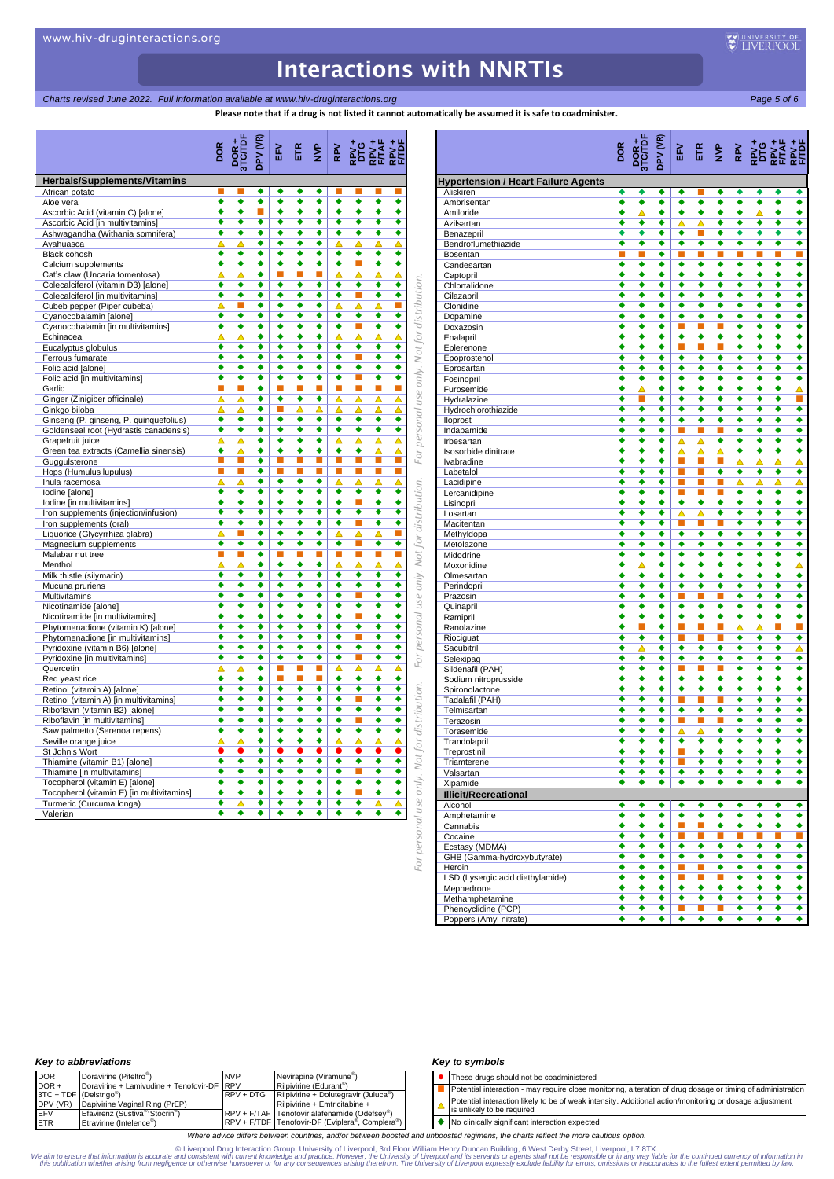*Charts revised June 2022. Full information available at www.hiv-druginteractions.org Page 5 of 6*

**Please note that if a drug is not listed it cannot automatically be assumed it is safe to coadminister.**

|                                                            | DOR    |        | DPV (VR) | FV.    |        |              |                      |        | $\begin{array}{ccc} \text{E} & \text{E} & \text{E} & \text{E} & \text{E} \\ \text{E} & \text{E} & \text{E} & \text{E} & \text{E} \\ \text{E} & \text{E} & \text{E} & \text{E} & \text{E} \\ \text{E} & \text{E} & \text{E} & \text{E} & \text{E} \\ \end{array}$ |        |                                              |
|------------------------------------------------------------|--------|--------|----------|--------|--------|--------------|----------------------|--------|------------------------------------------------------------------------------------------------------------------------------------------------------------------------------------------------------------------------------------------------------------------|--------|----------------------------------------------|
| <b>Herbals/Supplements/Vitamins</b>                        |        |        |          |        |        |              |                      |        |                                                                                                                                                                                                                                                                  |        |                                              |
| African potato                                             |        |        | ٠        | ٠      | ٠      | ٠            |                      |        |                                                                                                                                                                                                                                                                  |        |                                              |
| Aloe vera                                                  | ٠      | ٠      | ٠        | ٠      | ٠      | ٠            | ٠                    | ٠      | ٠                                                                                                                                                                                                                                                                | ٠      |                                              |
| Ascorbic Acid (vitamin C) [alone]                          | ٠      | ٠      | П        | ٠      | ٠      | ٠            | ٠                    | ٠      | ٠                                                                                                                                                                                                                                                                | ٠      |                                              |
| Ascorbic Acid [in multivitamins]                           | ٠      | ٠      | ٠        | ٠      | ٠      | ٠            | ٠                    | ٠      | ٠                                                                                                                                                                                                                                                                | ٠      |                                              |
| Ashwagandha (Withania somnifera)                           | ٠      | ٠      | ٠<br>٠   | ٠<br>٠ | ٠<br>٠ | ٠            | ٠                    | ٠      | ٠                                                                                                                                                                                                                                                                | ٠      |                                              |
| Ayahuasca<br>Black cohosh                                  | Δ<br>٠ | Δ<br>٠ | ٠        | ٠      | ٠      | ٠<br>٠       | Δ<br>٠               | Δ<br>٠ | Δ<br>٠                                                                                                                                                                                                                                                           | Δ<br>٠ |                                              |
| Calcium supplements                                        | ٠      | ٠      | ٠        | ٠      | ٠      | ٠            | ٠                    | п      | ٠                                                                                                                                                                                                                                                                | ٠      |                                              |
| Cat's claw (Uncaria tomentosa)                             | ▵      | Δ      | ٠        | п      | П      | ш            | Δ                    | ▵      | Δ                                                                                                                                                                                                                                                                | △      |                                              |
| Colecalciferol (vitamin D3) [alone]                        | ٠      | ٠      | ٠        | ٠      | ٠      | ٠            | ٠                    | ٠      | ٠                                                                                                                                                                                                                                                                | ٠      |                                              |
| Colecalciferol [in multivitamins]                          | ٠      | ٠      | ٠        | ٠      | ٠      | ٠            | ٠                    | П      | ٠                                                                                                                                                                                                                                                                | ٠      |                                              |
| Cubeb pepper (Piper cubeba)                                | Δ      | п      | ٠        | ٠      | ٠      | ٠            | Δ                    | Δ      | Δ                                                                                                                                                                                                                                                                | п      |                                              |
| Cyanocobalamin [alone]                                     | ٠      | ٠      | ٠        | ٠      | ٠      | ٠            | ٠                    | ٠      | ٠                                                                                                                                                                                                                                                                | ٠      |                                              |
| Cyanocobalamin [in multivitamins]                          | ٠      | ٠      | ٠        | ٠      | ٠      | ٠            | ٠                    | п      | ٠                                                                                                                                                                                                                                                                | ٠      |                                              |
| Echinacea                                                  | Δ      | Δ      | ٠        | ٠      | ٠      | ٠            | Δ                    | Δ      | Δ                                                                                                                                                                                                                                                                | Δ      |                                              |
| Eucalyptus globulus                                        | ٠      | ٠      | ٠        | ٠      | ٠      | ٠            | ٠                    | ٠      | ٠                                                                                                                                                                                                                                                                | ٠      |                                              |
| Ferrous fumarate                                           | ٠      | ٠      | ٠        | ٠      | ٠      | ٠            | ٠                    |        | ٠                                                                                                                                                                                                                                                                | ٠      | For personal use only. Not for distribution. |
| Folic acid [alone]                                         | ٠      | ٠      | ٠        | ٠      | ٠      | ٠            | ٠                    | ٠      | ٠                                                                                                                                                                                                                                                                | ٠      |                                              |
| Folic acid [in multivitamins]                              | ٠      | ٠      | ٠        | ٠      | ٠      | ٠            | ٠                    | П      | ٠                                                                                                                                                                                                                                                                | ٠      |                                              |
| Garlic                                                     | П      | п      | ٠        | п      | П      | п            | П                    | п      | П                                                                                                                                                                                                                                                                | п      |                                              |
| Ginger (Zinigiber officinale)                              | Δ      | Δ      | ٠        | ٠      | ٠      | ٠            | Δ                    | Δ      | Δ                                                                                                                                                                                                                                                                | ▵      |                                              |
| Ginkgo biloba                                              | Δ      | Δ      | ٠        | ш      | △      | Δ            | Δ                    | △      | ▵                                                                                                                                                                                                                                                                | Δ      |                                              |
| Ginseng (P. ginseng, P. quinquefolius)                     | ٠      | ٠      | ٠        | ٠      | ٠      | ٠            | ٠                    | ٠      | ٠                                                                                                                                                                                                                                                                | ٠      |                                              |
| Goldenseal root (Hydrastis canadensis)                     | ٠      | ٠      | ٠        | ٠      | ٠      | ٠            | ٠                    | ٠      | ٠                                                                                                                                                                                                                                                                | ٠      |                                              |
| Grapefruit juice<br>Green tea extracts (Camellia sinensis) | Δ<br>٠ | Δ      | ٠<br>٠   | ٠<br>٠ | ٠<br>٠ | ٠            | Δ<br>٠               | Δ<br>٠ | Δ                                                                                                                                                                                                                                                                | Ā      |                                              |
|                                                            | П      | Δ<br>п | ٠        | п      | П      | п            | П                    | п      | ▵<br>П                                                                                                                                                                                                                                                           | Δ<br>П |                                              |
| Guggulsterone<br>Hops (Humulus lupulus)                    | П      | П      | ٠        | п      | П      | ×            | П                    | п      | П                                                                                                                                                                                                                                                                | п      |                                              |
| Inula racemosa                                             | Δ      | Δ      | ٠        | ٠      | ٠      | ٠            | Δ                    | Δ      | Δ                                                                                                                                                                                                                                                                | Δ      |                                              |
| Iodine [alone]                                             | ٠      | ٠      | ٠        | ٠      | ٠      | ٠            | ٠                    | ٠      | ٠                                                                                                                                                                                                                                                                | ٠      |                                              |
| Iodine [in multivitamins]                                  | ٠      | ٠      | ٠        | ٠      | ٠      | ٠            | ٠                    | п      | ٠                                                                                                                                                                                                                                                                | ٠      |                                              |
| Iron supplements (injection/infusion)                      | ٠      | ٠      | ٠        | ٠      | ٠      | ٠            | ٠                    | ٠      | ٠                                                                                                                                                                                                                                                                | ٠      |                                              |
| Iron supplements (oral)                                    | ٠      | ٠      | ٠        | ٠      | ٠      | ٠            | ٠                    | п      | ٠                                                                                                                                                                                                                                                                | ٠      |                                              |
| Liquorice (Glycyrrhiza glabra)                             | Δ      | П      | ٠        | ٠      | ٠      | ٠            | Δ                    | ▵      | ▵                                                                                                                                                                                                                                                                | П      |                                              |
| Magnesium supplements                                      | ٠      | ٠      | ٠        | ٠      | ٠      | ٠            | ٠                    | п      | ٠                                                                                                                                                                                                                                                                | ٠      |                                              |
| Malabar nut tree                                           | п      | П      | ٠        | п      | П      | п            | П                    | П      | п                                                                                                                                                                                                                                                                | ×      |                                              |
| Menthol                                                    | Δ      | △      | ٠        | ٠      | ٠      | ٠            | Δ                    | △      | ▵                                                                                                                                                                                                                                                                | Δ      |                                              |
| Milk thistle (silymarin)                                   | ٠      | ٠      | ٠        | ٠      | ٠      | ٠            | ٠                    | ٠      | ٠                                                                                                                                                                                                                                                                | ٠      |                                              |
| Mucuna pruriens                                            | ٠      | ٠      | ٠        | ٠      | ٠      | ٠            | ٠                    | ٠      | ٠                                                                                                                                                                                                                                                                | ٠      |                                              |
| Multivitamins                                              | ٠      | ٠      | ٠        | ٠      | ٠      | ٠            | ٠                    | п      | ٠                                                                                                                                                                                                                                                                | ٠      |                                              |
| Nicotinamide [alone]                                       | ٠      | ٠      | ٠        | ٠      | ٠      | ٠            | ٠                    | ٠      | ٠                                                                                                                                                                                                                                                                | ٠      |                                              |
| Nicotinamide [in multivitamins]                            | ٠      | ٠      | ٠        | ٠      | ٠      | ٠            | ٠                    | п      | ٠                                                                                                                                                                                                                                                                | ٠      |                                              |
| Phytomenadione (vitamin K) [alone]                         | ٠      | ٠      | ٠        | ٠      | ٠      | ٠            | ٠                    | ٠      | ٠                                                                                                                                                                                                                                                                | ٠      |                                              |
| Phytomenadione [in multivitamins]                          | ٠<br>٠ | ٠<br>٠ | ٠<br>٠   | ٠<br>٠ | ٠<br>٠ | ٠<br>٠       | ٠<br>٠               | п<br>٠ | ٠<br>٠                                                                                                                                                                                                                                                           | ٠<br>٠ | For personal use only. Not for distribution. |
| Pyridoxine (vitamin B6) [alone]                            | ٠      | ٠      | ٠        | ٠      | ٠      | ٠            | ٠                    | п      | ٠                                                                                                                                                                                                                                                                | ٠      |                                              |
| Pyridoxine [in multivitamins]                              | ▵      | Δ      | ٠        | П      | П      | п            | Δ                    | ▵      | Δ                                                                                                                                                                                                                                                                | Δ      |                                              |
| Quercetin<br>Red yeast rice                                | ٠      | ٠      | ٠        | п      | П      | $\mathbf{r}$ | ٠                    | ٠      | ٠                                                                                                                                                                                                                                                                | ٠      |                                              |
| Retinol (vitamin A) [alone]                                | ٠      | ٠      | ٠        | ٠      | ٠      | ٠            | ٠                    | ٠      | ٠                                                                                                                                                                                                                                                                | ٠      |                                              |
| Retinol (vitamin A) [in multivitamins]                     | ٠      | ٠      | ٠        | ٠      | ٠      | ٠            | ٠                    | п      | ٠                                                                                                                                                                                                                                                                | ٠      |                                              |
| Riboflavin (vitamin B2) [alone]                            | ٠      | ٠      | ٠        | ٠      | ٠      | ٠            | ٠                    | ٠      | ٠                                                                                                                                                                                                                                                                | ٠      |                                              |
| Riboflavin [in multivitamins]                              | ٠      | ٠      | ٠        | ٠      | ٠      | ٠            | ٠                    | п      | ٠                                                                                                                                                                                                                                                                | ٠      |                                              |
| Saw palmetto (Serenoa repens)                              | ٠      | ٠      | ٠        | ٠      | ٠      | ٠            | ٠                    | ٠      | ٠                                                                                                                                                                                                                                                                | ٠      |                                              |
| Seville orange juice                                       | ▵      | Δ      | ٠        | ٠      | ٠      | ٠            | Δ                    | Δ      | Δ                                                                                                                                                                                                                                                                | Δ      | for distribution.                            |
| St John's Wort                                             |        |        | ٠        |        |        |              |                      |        |                                                                                                                                                                                                                                                                  |        |                                              |
| Thiamine (vitamin B1) [alone]                              |        |        |          |        |        |              |                      |        |                                                                                                                                                                                                                                                                  |        |                                              |
| Thiamine [in multivitamins]                                | ٠      | ٠      | ٠        | ٠      | ٠      | ٠            | $\overline{\bullet}$ | п      | $\overline{\bullet}$                                                                                                                                                                                                                                             | ٠      |                                              |
| Tocopherol (vitamin E) [alone]                             | ٠      | ٠      | ٠        | ٠      | ٠      | ٠            | ٠                    | ٠      | ٠                                                                                                                                                                                                                                                                | õ      |                                              |
| Tocopherol (vitamin E) [in multivitamins]                  | ٠      | ٠      | ٠        | ٠      | ٠      | ٠            | ٠                    | п      | ٠                                                                                                                                                                                                                                                                | ٠      |                                              |
| Turmeric (Curcuma longa)                                   | ٠      | Δ      | ٠        | ٠      | ٠      | ٠            | ٠                    | ٠      | Δ                                                                                                                                                                                                                                                                | Δ      |                                              |
| Valerian                                                   | ٠      | ٠      | ٠        | ٠      | ٠      | ٠            | ٠                    | ٠      | ٠                                                                                                                                                                                                                                                                | ٠      |                                              |
|                                                            |        |        |          |        |        |              |                      |        |                                                                                                                                                                                                                                                                  |        | For personal use only. No                    |

|                                            | DOR    | <b>POR+</b><br>3TC/TDF<br>DPV (VR) |        | 岳                   |                     |                      |        | ETRE PRESENTED<br>REVISION REPORT |                |        |
|--------------------------------------------|--------|------------------------------------|--------|---------------------|---------------------|----------------------|--------|-----------------------------------|----------------|--------|
| <b>Hypertension / Heart Failure Agents</b> |        |                                    |        |                     |                     |                      |        |                                   |                | ٠      |
| Aliskiren<br>Ambrisentan                   | ٠<br>٠ | ٠                                  | ٠<br>٠ | ٠<br>٠              | ٠                   | ٠<br>٠               | ٠<br>٠ | ٠<br>٠                            | ٠<br>٠         | ٠      |
| Amiloride                                  | ٠      | Δ                                  | ٠      | ٠                   | ٠                   | ٠                    | ٠      | Δ                                 | ٠              | ٠      |
| Azilsartan                                 | ٠      | ٠                                  | ٠      | Δ                   | Δ                   | ٠                    | ٠      | ٠                                 | ٠              | ٠      |
| Benazepril                                 | ٠      | ٠                                  | ٠      | ٠                   | п                   | ٠                    | ٠      | ٠                                 | ٠              | ٠      |
| Bendroflumethiazide                        | ٠      | ٠                                  | ٠      | ٠                   | ٠                   | ٠                    | ٠      | ٠                                 | ٠              | ٠      |
| Bosentan                                   |        |                                    | ٠      | п                   | п                   | п                    | п      | п                                 | п              | П      |
| Candesartan                                | ٠      | ٠                                  | ٠      | ٠                   | ٠                   | ٠                    | ٠      | ٠                                 | ٠              | ٠      |
| Captopril                                  | ٠<br>٠ | ٠<br>٠                             | ٠<br>٠ | ٠<br>٠              | ٠<br>٠              | ٠<br>٠               | ٠<br>٠ | ٠<br>٠                            | ٠<br>٠         | ٠<br>٠ |
| Chlortalidone<br>Cilazapril                | ٠      | ٠                                  | ٠      | ٠                   | ٠                   | ٠                    | ٠      | ٠                                 | ٠              | ٠      |
| Clonidine                                  | ٠      | ٠                                  | ٠      | ٠                   | ٠                   | ٠                    | ◆      | ◆                                 | ٠              | ٠      |
| Dopamine                                   | ٠      | ٠                                  | ٠      | ٠                   | ٠                   | ٠                    | ٠      | ٠                                 | ٠              | ٠      |
| Doxazosin                                  |        |                                    | ٠      | П                   | П                   | п                    | ٠      | ٠                                 | ٠              | ٠      |
| Enalapril                                  | ٠      | ٠                                  | ٠      | ٠                   | ٠                   | ٠                    | ٠      | ٠                                 | ٠              | ٠      |
| Eplerenone                                 |        |                                    | ٠      | п                   | п                   | п                    | ٠      | ٠                                 | ٠              | ٠      |
| Epoprostenol                               | ٠      | ٠                                  | ٠      | ٠                   | ٠                   | ٠                    | ٠      | ٠                                 | ٠              | ٠      |
| Eprosartan                                 | ٠      | ٠                                  | ٠      | ٠                   | ٠                   | ٠                    | ٠      | ٠                                 | ٠              | ٠      |
| Fosinopril                                 | ٠      | ٠                                  | ٠      | ٠                   | ٠                   | ٠                    | ٠      | ٠                                 | ٠              | ٠      |
| Furosemide                                 | ٠<br>٠ | Δ                                  | ٠<br>٠ | ٠<br>٠              | ٠<br>٠              | ٠<br>٠               | ٠<br>٠ | ٠<br>٠                            | ٠<br>٠         | Δ      |
| Hydralazine                                | ٠      | ٠                                  | ٠      | ٠                   | ٠                   | ٠                    | ٠      | ٠                                 | ٠              | ٠      |
| Hydrochlorothiazide<br>lloprost            | ٠      | ٠                                  | ٠      | ٠                   | ٠                   | ٠                    | ٠      | ٠                                 | ٠              | ٠      |
| Indapamide                                 | ٠      | ٠                                  | ٠      | п                   | П                   | п                    | ٠      | ٠                                 | ٠              | ٠      |
| Irbesartan                                 | ٠      | ٠                                  | ٠      | Δ                   | Δ                   | ٠                    | ◆      | $\overline{\bullet}$              | ٠              | ◆      |
| Isosorbide dinitrate                       | ٠      | ٠                                  | ٠      | Δ                   | Δ                   | ▵                    | ٠      | ٠                                 | ٠              | ٠      |
| Ivabradine                                 | ٠      | ٠                                  | ٠      | п                   | П                   | п                    | Δ      | Δ                                 | Δ              | Δ      |
| Labetalol                                  | ٠      | ٠                                  | ٠      | п                   | ш                   | ٠                    | ٠      | ٠                                 | ٠              | ٠      |
| Lacidipine                                 |        |                                    | ٠      | п                   | П                   | п                    | Δ      | Δ                                 | Δ              | Δ      |
| Lercanidipine                              | ٠      | ٠                                  | ٠      | п                   | П                   | n                    | ٠      | ٠                                 | ٠              | ◆      |
| Lisinopril                                 |        |                                    | ٠      | ٠                   | ٠                   | ٠                    | ٠      | ٠                                 | ٠              | ٠      |
| Losartan                                   | ٠      | ٠                                  | ٠      | Δ                   | Δ                   | ٠                    | ٠      | ٠                                 | ٠              | ٠      |
| Macitentan                                 | ٠      | ٠                                  | ٠      | п                   | п                   | п                    | ٠      | ٠                                 | ٠              | ٠      |
| Methyldopa                                 | ٠<br>٠ | ٠<br>٠                             | ٠<br>٠ | ٠<br>٠              | ٠<br>٠              | ٠<br>٠               | ٠<br>٠ | ٠<br>٠                            | ٠<br>٠         | ٠<br>٠ |
| Metolazone<br>Midodrine                    | ٠      | ٠                                  | ٠      | ٠                   | ٠                   | ٠                    | ٠      | ٠                                 | ٠              | ٠      |
| Moxonidine                                 | ٠      | Δ                                  | ٠      | ٠                   | ٠                   | ٠                    | ٠      | ٠                                 | ٠              | Δ      |
| Olmesartan                                 | ٠      | ٠                                  | ٠      | ٠                   | ٠                   | ٠                    | ٠      | ٠                                 | ٠              | ٠      |
| Perindopril                                | ٠      | ٠                                  | ٠      | ٠                   | ٠                   | ٠                    | ٠      | ٠                                 | ٠              | ٠      |
| Prazosin                                   | ٠      | ٠                                  | ٠      | П                   | П                   | п                    | ◆      | ◆                                 | ٠              | ٠      |
| Quinapril                                  | ٠      | ٠                                  | ٠      | ٠                   | ٠                   | ٠                    | ٠      | ٠                                 | ٠              | ٠      |
| Ramipril                                   | ٠      | ٠                                  | ٠      | ٠                   | ٠                   | ٠                    | ٠      | ٠                                 | ٠              | ٠      |
| Ranolazine                                 | ٠      | ■                                  | ٠      | п                   | П                   | п                    | △      | Δ                                 | п              | П      |
| Riociguat                                  | ٠      | ٠                                  | ٠      | П                   | п                   | п                    | ٠      | ٠                                 | ٠              | ٠      |
| Sacubitril                                 | ٠      | △                                  | ٠      | ٠                   | ٠                   | ٠                    | ٠      | ٠                                 | ٠              | Δ      |
| Selexipag                                  |        | ٠                                  | ٠      | ٠                   | ٠                   | ٠                    | ٠      | ٠                                 | ٠              | ٠      |
| Sildenafil (PAH)                           | ٠      | ٠                                  | ٠<br>٠ | п<br>٠              | ш<br>◆              | п<br>٠               | ٠<br>٠ | ٠<br>٠                            | ٠<br>◆         | ٠<br>◆ |
| Sodium nitroprusside<br>Spironolactone     | ٠      | ٠                                  | ٠      | ٠                   | ٠                   | ٠                    | ٠      | ٠                                 | ٠              | ٠      |
| Tadalafil (PAH)                            | ٠      | ٠                                  | ٠      | п                   | п                   | п                    | ٠      | ٠                                 | ٠              | ٠      |
| Telmisartan                                | ٠      | ٠                                  | ٠      | ٠                   | ٠                   | $\overline{\bullet}$ | ٠      | ٠                                 | ٠              | ٠      |
| Terazosin                                  | ٠      | ٠                                  | ٠      | п                   | П                   | п                    | ٠      | ٠                                 | ٠              | ٠      |
| Torasemide                                 | ٠      | ٠                                  | ٠      | Δ                   | ▵                   | ٠                    | ٠      | ٠                                 | ٠              | ٠      |
| Trandolapril                               | ٠      | ٠                                  | ٠      | ٠                   | ٠                   | ٠                    | ٠      | ٠                                 | ٠              | ٠      |
| Treprostinil                               | ٠      | ٠                                  | ٠      |                     | ٠                   | ٠                    | ٠      | ٠                                 | ٠              | ٠      |
| Triamterene                                |        |                                    |        |                     |                     |                      |        |                                   |                |        |
| Valsartan                                  | ٠      | ٠                                  | ٠      | ٠                   | ٠                   | ٠                    | ٠      | ٠                                 | ٠              | ٠      |
| Xipamide                                   | ٠      | ٠                                  | ٠      | ٠                   | ٠                   | ٠                    | ٠      | ٠                                 | ٠              | ٠      |
| <b>Illicit/Recreational</b>                |        |                                    |        |                     |                     |                      |        |                                   |                |        |
| Alcohol                                    | ٠      | ٠                                  | ٠      | ٠                   | ٠                   | ٠                    | ٠      | ٠                                 | ٠              | ٠      |
| Amphetamine                                | ٠<br>٠ | ٠<br>٠                             | ٠<br>٠ | ٠<br>$\blacksquare$ | ٠<br>$\blacksquare$ | ٠<br>٠               | ٠<br>٠ | ٠<br>٠                            | ٠<br>٠         | ٠<br>٠ |
| Cannabis<br>Cocaine                        | ٠      | ٠                                  | ٠      | ш                   | ш                   | ш                    | ш      | ш                                 | $\blacksquare$ | Π      |
| Ecstasy (MDMA)                             | ٠      | ٠                                  | ٠      | ٠                   | ٠                   | ٠                    | ٠      | ٠                                 | ٠              | ٠      |
| GHB (Gamma-hydroxybutyrate)                | ٠      | ٠                                  | ٠      | ٠                   | ٠                   | ٠                    | ٠      | ٠                                 | ٠              | ٠      |
| Heroin                                     | ٠      | ٠                                  | ٠      | п                   | п                   | ٠                    | ٠      | ٠                                 | ٠              | ٠      |
| LSD (Lysergic acid diethylamide)           | ٠      | ٠                                  | ٠      | п                   | П                   | П                    | ٠      | ٠                                 | ٠              | ٠      |
| Mephedrone                                 | ٠      | ٠                                  | ۰      | ٠                   | ٠                   | ٠                    | ٠      | ۰                                 | ٠              | ٠      |
| Methamphetamine                            | ٠      | ٠                                  | ۰      | ٠                   | ٠                   | ٠                    | ٠      | ٠                                 | ٠              | ٠      |
| Phencyclidine (PCP)                        | ٠      | ٠                                  | ٠      | ш                   | $\blacksquare$      | п                    | ٠      | ٠                                 | ٠              | ٠      |
| Poppers (Amyl nitrate)                     | ٠      | ٠                                  | ٠      | ٠                   | ٠                   | ٠                    | ٠      | ٠                                 | ٠              | ٠      |

#### *Key to abbreviations*

| <b>DOR</b>                          | Doravirine (Pifeltro <sup>®</sup> )                    | <b>NVP</b> | Nevirapine (Viramune <sup>®</sup> )             |
|-------------------------------------|--------------------------------------------------------|------------|-------------------------------------------------|
| $DOR +$                             | Doravirine + Lamivudine + Tenofovir-DF IRPV            |            | Rilpivirine (Edurant <sup>®</sup> )             |
| 3TC + TDF (Delstrigo <sup>®</sup> ) |                                                        | RPV + DTG  | Rilpivirine + Dolutegravir (Juluca <sup>®</sup> |
| DPV (VR)                            | Dapivirine Vaginal Ring (PrEP)                         |            | Rilpivirine + Emtricitabine +                   |
| <b>EFV</b>                          | Efavirenz (Sustiva <sup>®</sup> Stocrin <sup>®</sup> ) |            | RPV + F/TAF Tenofovir alafenamide (Odefsey®)    |
| <b>ETR</b>                          | Etravirine (Intelence <sup>®</sup> )                   |            | RPV + F/TDF Tenofovir-DF (Eviplera®, Complera®) |

## *Key to symbols*

⚫ These drugs should not be coadministered Potential interaction - may require close monitoring, alteration of drug dosage or timing of administration Potential interaction likely to be of weak intensity. Additional action/monitoring or dosage adjustment is unlikely to be required  $\Delta$ 

◆ No clinically significant interaction expected

*Where advice differs between countries, and/or between boosted and unboosted regimens, the charts reflect the more cautious option.*